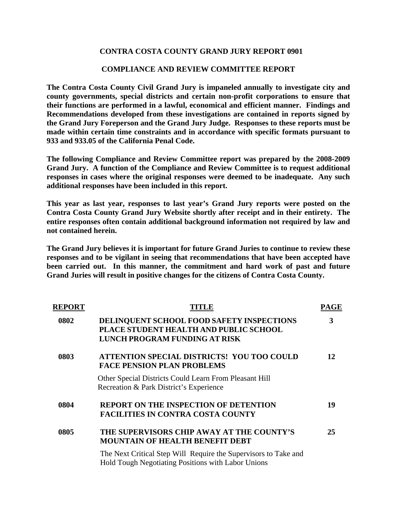# **CONTRA COSTA COUNTY GRAND JURY REPORT 0901**

### **COMPLIANCE AND REVIEW COMMITTEE REPORT**

**The Contra Costa County Civil Grand Jury is impaneled annually to investigate city and county governments, special districts and certain non-profit corporations to ensure that their functions are performed in a lawful, economical and efficient manner. Findings and Recommendations developed from these investigations are contained in reports signed by the Grand Jury Foreperson and the Grand Jury Judge. Responses to these reports must be made within certain time constraints and in accordance with specific formats pursuant to 933 and 933.05 of the California Penal Code.** 

**The following Compliance and Review Committee report was prepared by the 2008-2009 Grand Jury. A function of the Compliance and Review Committee is to request additional responses in cases where the original responses were deemed to be inadequate. Any such additional responses have been included in this report.** 

**This year as last year, responses to last year's Grand Jury reports were posted on the Contra Costa County Grand Jury Website shortly after receipt and in their entirety. The entire responses often contain additional background information not required by law and not contained herein.** 

**The Grand Jury believes it is important for future Grand Juries to continue to review these responses and to be vigilant in seeing that recommendations that have been accepted have been carried out. In this manner, the commitment and hard work of past and future Grand Juries will result in positive changes for the citizens of Contra Costa County.** 

| <b>REPORT</b> | <b>TITLE</b>                                                                                                          | PAGE |
|---------------|-----------------------------------------------------------------------------------------------------------------------|------|
| 0802          | DELINQUENT SCHOOL FOOD SAFETY INSPECTIONS<br>PLACE STUDENT HEALTH AND PUBLIC SCHOOL<br>LUNCH PROGRAM FUNDING AT RISK  | 3    |
| 0803          | ATTENTION SPECIAL DISTRICTS! YOU TOO COULD<br><b>FACE PENSION PLAN PROBLEMS</b>                                       | 12   |
|               | Other Special Districts Could Learn From Pleasant Hill<br>Recreation & Park District's Experience                     |      |
| 0804          | <b>REPORT ON THE INSPECTION OF DETENTION</b><br><b>FACILITIES IN CONTRA COSTA COUNTY</b>                              | 19   |
| 0805          | THE SUPERVISORS CHIP AWAY AT THE COUNTY'S<br><b>MOUNTAIN OF HEALTH BENEFIT DEBT</b>                                   | 25   |
|               | The Next Critical Step Will Require the Supervisors to Take and<br>Hold Tough Negotiating Positions with Labor Unions |      |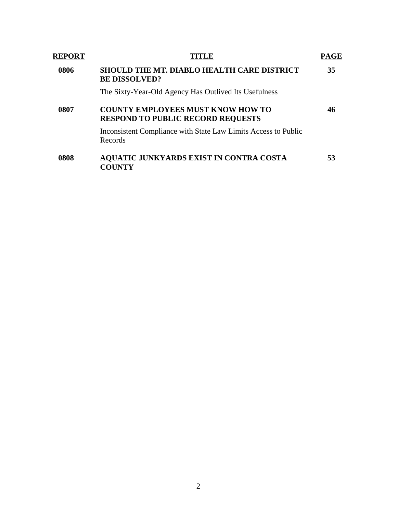| <b>REPORT</b> |                                                                                      |    |  |
|---------------|--------------------------------------------------------------------------------------|----|--|
| 0806          | <b>SHOULD THE MT. DIABLO HEALTH CARE DISTRICT</b><br><b>BE DISSOLVED?</b>            | 35 |  |
|               | The Sixty-Year-Old Agency Has Outlived Its Usefulness                                |    |  |
| 0807          | <b>COUNTY EMPLOYEES MUST KNOW HOW TO</b><br><b>RESPOND TO PUBLIC RECORD REQUESTS</b> | 46 |  |
|               | Inconsistent Compliance with State Law Limits Access to Public<br>Records            |    |  |
| 0808          | <b>AQUATIC JUNKYARDS EXIST IN CONTRA COSTA</b><br><b>COUNTY</b>                      | 53 |  |
|               |                                                                                      |    |  |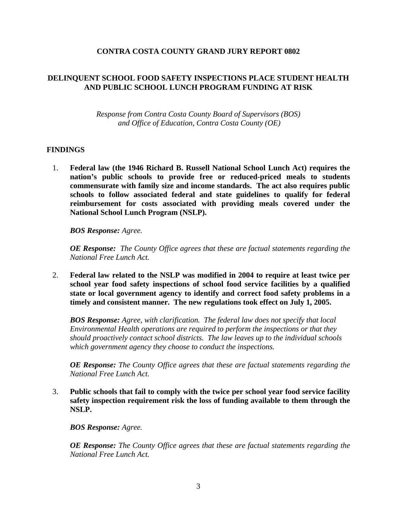# **CONTRA COSTA COUNTY GRAND JURY REPORT 0802**

# **DELINQUENT SCHOOL FOOD SAFETY INSPECTIONS PLACE STUDENT HEALTH AND PUBLIC SCHOOL LUNCH PROGRAM FUNDING AT RISK**

*Response from Contra Costa County Board of Supervisors (BOS) and Office of Education, Contra Costa County (OE)* 

#### **FINDINGS**

1. **Federal law (the 1946 Richard B. Russell National School Lunch Act) requires the nation's public schools to provide free or reduced-priced meals to students commensurate with family size and income standards. The act also requires public schools to follow associated federal and state guidelines to qualify for federal reimbursement for costs associated with providing meals covered under the National School Lunch Program (NSLP).** 

*BOS Response: Agree.* 

*OE Response: The County Office agrees that these are factual statements regarding the National Free Lunch Act.* 

2. **Federal law related to the NSLP was modified in 2004 to require at least twice per school year food safety inspections of school food service facilities by a qualified state or local government agency to identify and correct food safety problems in a timely and consistent manner. The new regulations took effect on July 1, 2005.** 

*BOS Response: Agree, with clarification. The federal law does not specify that local Environmental Health operations are required to perform the inspections or that they should proactively contact school districts. The law leaves up to the individual schools which government agency they choose to conduct the inspections.* 

*OE Response: The County Office agrees that these are factual statements regarding the National Free Lunch Act.* 

3. **Public schools that fail to comply with the twice per school year food service facility safety inspection requirement risk the loss of funding available to them through the NSLP.** 

*BOS Response: Agree.*

*OE Response: The County Office agrees that these are factual statements regarding the National Free Lunch Act.*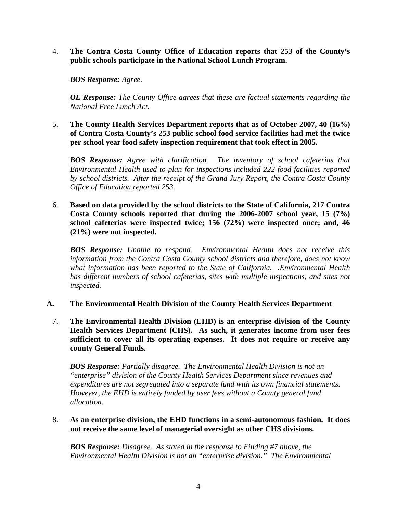4. **The Contra Costa County Office of Education reports that 253 of the County's public schools participate in the National School Lunch Program.** 

*BOS Response: Agree.*

*OE Response: The County Office agrees that these are factual statements regarding the National Free Lunch Act.*

5. **The County Health Services Department reports that as of October 2007, 40 (16%) of Contra Costa County's 253 public school food service facilities had met the twice per school year food safety inspection requirement that took effect in 2005.** 

*BOS Response: Agree with clarification. The inventory of school cafeterias that Environmental Health used to plan for inspections included 222 food facilities reported by school districts. After the receipt of the Grand Jury Report, the Contra Costa County Office of Education reported 253.*

6. **Based on data provided by the school districts to the State of California, 217 Contra Costa County schools reported that during the 2006-2007 school year, 15 (7%) school cafeterias were inspected twice; 156 (72%) were inspected once; and, 46 (21%) were not inspected.** 

*BOS Response: Unable to respond. Environmental Health does not receive this information from the Contra Costa County school districts and therefore, does not know what information has been reported to the State of California. .Environmental Health*  has different numbers of school cafeterias, sites with multiple inspections, and sites not *inspected.* 

- **A. The Environmental Health Division of the County Health Services Department** 
	- 7. **The Environmental Health Division (EHD) is an enterprise division of the County Health Services Department (CHS). As such, it generates income from user fees sufficient to cover all its operating expenses. It does not require or receive any county General Funds.**

*BOS Response: Partially disagree. The Environmental Health Division is not an "enterprise" division of the County Health Services Department since revenues and expenditures are not segregated into a separate fund with its own financial statements. However, the EHD is entirely funded by user fees without a County general fund allocation.* 

8. **As an enterprise division, the EHD functions in a semi-autonomous fashion. It does not receive the same level of managerial oversight as other CHS divisions.** 

*BOS Response: Disagree. As stated in the response to Finding #7 above, the Environmental Health Division is not an "enterprise division." The Environmental*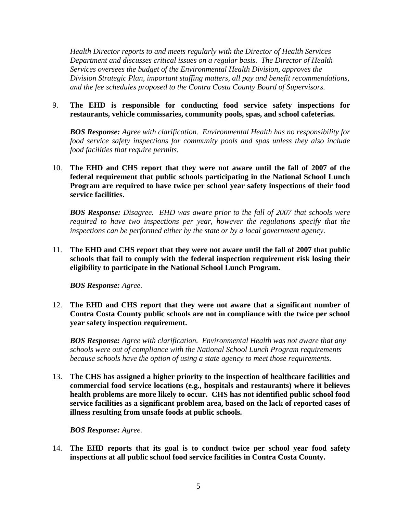*Health Director reports to and meets regularly with the Director of Health Services Department and discusses critical issues on a regular basis. The Director of Health Services oversees the budget of the Environmental Health Division, approves the Division Strategic Plan, important staffing matters, all pay and benefit recommendations, and the fee schedules proposed to the Contra Costa County Board of Supervisors.* 

9. **The EHD is responsible for conducting food service safety inspections for restaurants, vehicle commissaries, community pools, spas, and school cafeterias.** 

*BOS Response: Agree with clarification. Environmental Health has no responsibility for food service safety inspections for community pools and spas unless they also include food facilities that require permits.*

10. **The EHD and CHS report that they were not aware until the fall of 2007 of the federal requirement that public schools participating in the National School Lunch Program are required to have twice per school year safety inspections of their food service facilities.** 

*BOS Response: Disagree. EHD was aware prior to the fall of 2007 that schools were required to have two inspections per year, however the regulations specify that the inspections can be performed either by the state or by a local government agency.*

11. **The EHD and CHS report that they were not aware until the fall of 2007 that public schools that fail to comply with the federal inspection requirement risk losing their eligibility to participate in the National School Lunch Program.** 

*BOS Response: Agree.*

12. **The EHD and CHS report that they were not aware that a significant number of Contra Costa County public schools are not in compliance with the twice per school year safety inspection requirement.** 

*BOS Response: Agree with clarification. Environmental Health was not aware that any schools were out of compliance with the National School Lunch Program requirements because schools have the option of using a state agency to meet those requirements.* 

13. **The CHS has assigned a higher priority to the inspection of healthcare facilities and commercial food service locations (e.g., hospitals and restaurants) where it believes health problems are more likely to occur. CHS has not identified public school food service facilities as a significant problem area, based on the lack of reported cases of illness resulting from unsafe foods at public schools.** 

*BOS Response: Agree.*

14. **The EHD reports that its goal is to conduct twice per school year food safety inspections at all public school food service facilities in Contra Costa County.**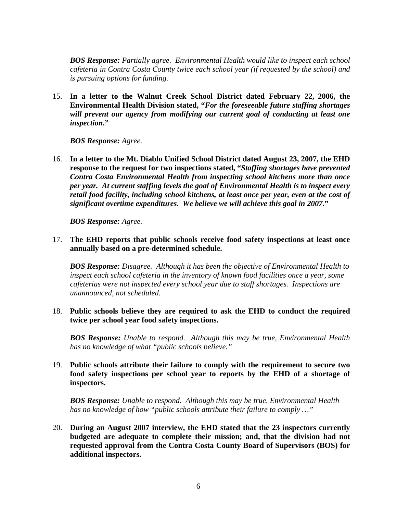*BOS Response: Partially agree. Environmental Health would like to inspect each school cafeteria in Contra Costa County twice each school year (if requested by the school) and is pursuing options for funding.*

15. **In a letter to the Walnut Creek School District dated February 22, 2006, the Environmental Health Division stated, "***For the foreseeable future staffing shortages will prevent our agency from modifying our current goal of conducting at least one inspection***."** 

*BOS Response: Agree.*

16. **In a letter to the Mt. Diablo Unified School District dated August 23, 2007, the EHD response to the request for two inspections stated, "***Staffing shortages have prevented Contra Costa Environmental Health from inspecting school kitchens more than once per year. At current staffing levels the goal of Environmental Health is to inspect every retail food facility, including school kitchens, at least once per year, even at the cost of significant overtime expenditures. We believe we will achieve this goal in 2007***."** 

*BOS Response: Agree.*

17. **The EHD reports that public schools receive food safety inspections at least once annually based on a pre-determined schedule.** 

*BOS Response: Disagree. Although it has been the objective of Environmental Health to inspect each school cafeteria in the inventory of known food facilities once a year, some cafeterias were not inspected every school year due to staff shortages. Inspections are unannounced, not scheduled.* 

18. **Public schools believe they are required to ask the EHD to conduct the required twice per school year food safety inspections.** 

*BOS Response: Unable to respond. Although this may be true, Environmental Health has no knowledge of what "public schools believe."* 

19. **Public schools attribute their failure to comply with the requirement to secure two food safety inspections per school year to reports by the EHD of a shortage of inspectors.** 

*BOS Response: Unable to respond. Although this may be true, Environmental Health has no knowledge of how "public schools attribute their failure to comply …"* 

20. **During an August 2007 interview, the EHD stated that the 23 inspectors currently budgeted are adequate to complete their mission; and, that the division had not requested approval from the Contra Costa County Board of Supervisors (BOS) for additional inspectors.**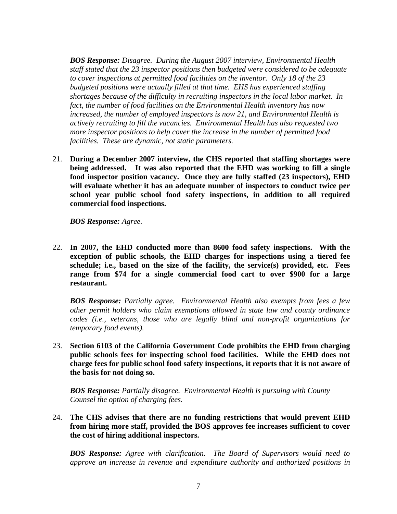*BOS Response: Disagree. During the August 2007 interview, Environmental Health staff stated that the 23 inspector positions then budgeted were considered to be adequate to cover inspections at permitted food facilities on the inventor. Only 18 of the 23 budgeted positions were actually filled at that time. EHS has experienced staffing shortages because of the difficulty in recruiting inspectors in the local labor market. In fact, the number of food facilities on the Environmental Health inventory has now increased, the number of employed inspectors is now 21, and Environmental Health is actively recruiting to fill the vacancies. Environmental Health has also requested two more inspector positions to help cover the increase in the number of permitted food facilities. These are dynamic, not static parameters.* 

21. **During a December 2007 interview, the CHS reported that staffing shortages were being addressed. It was also reported that the EHD was working to fill a single food inspector position vacancy. Once they are fully staffed (23 inspectors), EHD will evaluate whether it has an adequate number of inspectors to conduct twice per school year public school food safety inspections, in addition to all required commercial food inspections.** 

*BOS Response: Agree.*

22. **In 2007, the EHD conducted more than 8600 food safety inspections. With the exception of public schools, the EHD charges for inspections using a tiered fee schedule; i.e., based on the size of the facility, the service(s) provided, etc. Fees range from \$74 for a single commercial food cart to over \$900 for a large restaurant.** 

*BOS Response: Partially agree. Environmental Health also exempts from fees a few other permit holders who claim exemptions allowed in state law and county ordinance codes (i.e., veterans, those who are legally blind and non-profit organizations for temporary food events).*

23. **Section 6103 of the California Government Code prohibits the EHD from charging public schools fees for inspecting school food facilities. While the EHD does not charge fees for public school food safety inspections, it reports that it is not aware of the basis for not doing so.** 

*BOS Response: Partially disagree. Environmental Health is pursuing with County Counsel the option of charging fees.* 

24. **The CHS advises that there are no funding restrictions that would prevent EHD from hiring more staff, provided the BOS approves fee increases sufficient to cover the cost of hiring additional inspectors.** 

*BOS Response: Agree with clarification. The Board of Supervisors would need to approve an increase in revenue and expenditure authority and authorized positions in*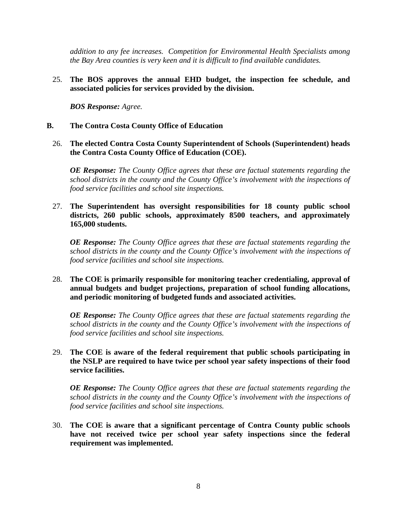*addition to any fee increases. Competition for Environmental Health Specialists among the Bay Area counties is very keen and it is difficult to find available candidates.*

25. **The BOS approves the annual EHD budget, the inspection fee schedule, and associated policies for services provided by the division.** 

*BOS Response: Agree.*

- **B. The Contra Costa County Office of Education** 
	- 26. **The elected Contra Costa County Superintendent of Schools (Superintendent) heads the Contra Costa County Office of Education (COE).**

*OE Response: The County Office agrees that these are factual statements regarding the school districts in the county and the County Office's involvement with the inspections of food service facilities and school site inspections.* 

27. **The Superintendent has oversight responsibilities for 18 county public school districts, 260 public schools, approximately 8500 teachers, and approximately 165,000 students.** 

*OE Response: The County Office agrees that these are factual statements regarding the school districts in the county and the County Office's involvement with the inspections of food service facilities and school site inspections.* 

28. **The COE is primarily responsible for monitoring teacher credentialing, approval of annual budgets and budget projections, preparation of school funding allocations, and periodic monitoring of budgeted funds and associated activities.** 

*OE Response: The County Office agrees that these are factual statements regarding the school districts in the county and the County Office's involvement with the inspections of food service facilities and school site inspections.* 

29. **The COE is aware of the federal requirement that public schools participating in the NSLP are required to have twice per school year safety inspections of their food service facilities.** 

*OE Response: The County Office agrees that these are factual statements regarding the school districts in the county and the County Office's involvement with the inspections of food service facilities and school site inspections.* 

30. **The COE is aware that a significant percentage of Contra County public schools have not received twice per school year safety inspections since the federal requirement was implemented.**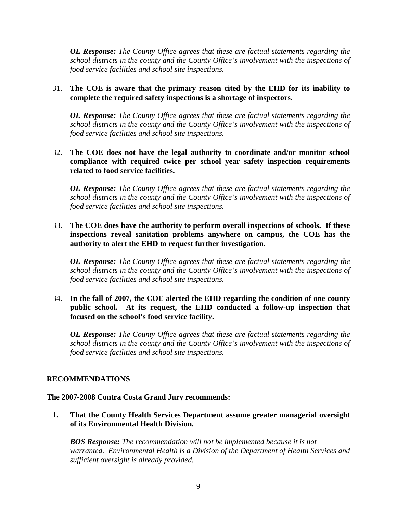*OE Response: The County Office agrees that these are factual statements regarding the school districts in the county and the County Office's involvement with the inspections of food service facilities and school site inspections.* 

# 31. **The COE is aware that the primary reason cited by the EHD for its inability to complete the required safety inspections is a shortage of inspectors.**

*OE Response: The County Office agrees that these are factual statements regarding the school districts in the county and the County Office's involvement with the inspections of food service facilities and school site inspections.* 

# 32. **The COE does not have the legal authority to coordinate and/or monitor school compliance with required twice per school year safety inspection requirements related to food service facilities.**

*OE Response: The County Office agrees that these are factual statements regarding the school districts in the county and the County Office's involvement with the inspections of food service facilities and school site inspections.* 

33. **The COE does have the authority to perform overall inspections of schools. If these inspections reveal sanitation problems anywhere on campus, the COE has the authority to alert the EHD to request further investigation.** 

*OE Response: The County Office agrees that these are factual statements regarding the school districts in the county and the County Office's involvement with the inspections of food service facilities and school site inspections.* 

34. **In the fall of 2007, the COE alerted the EHD regarding the condition of one county public school. At its request, the EHD conducted a follow-up inspection that focused on the school's food service facility.** 

*OE Response: The County Office agrees that these are factual statements regarding the school districts in the county and the County Office's involvement with the inspections of food service facilities and school site inspections.* 

# **RECOMMENDATIONS**

#### **The 2007-2008 Contra Costa Grand Jury recommends:**

**1. That the County Health Services Department assume greater managerial oversight of its Environmental Health Division.** 

*BOS Response: The recommendation will not be implemented because it is not warranted. Environmental Health is a Division of the Department of Health Services and sufficient oversight is already provided.*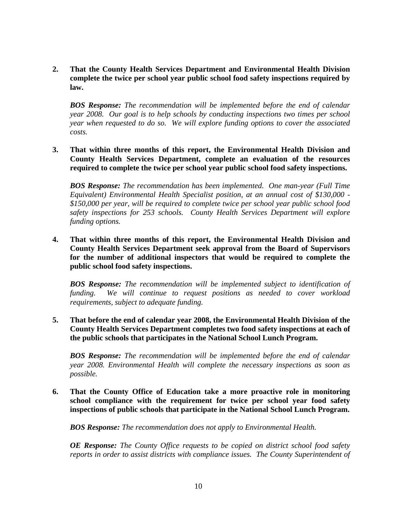**2. That the County Health Services Department and Environmental Health Division complete the twice per school year public school food safety inspections required by law.** 

*BOS Response: The recommendation will be implemented before the end of calendar year 2008. Our goal is to help schools by conducting inspections two times per school year when requested to do so. We will explore funding options to cover the associated costs.*

**3. That within three months of this report, the Environmental Health Division and County Health Services Department, complete an evaluation of the resources required to complete the twice per school year public school food safety inspections.** 

*BOS Response: The recommendation has been implemented. One man-year (Full Time Equivalent) Environmental Health Specialist position, at an annual cost of \$130,000 - \$150,000 per year, will be required to complete twice per school year public school food safety inspections for 253 schools. County Health Services Department will explore funding options.*

**4. That within three months of this report, the Environmental Health Division and County Health Services Department seek approval from the Board of Supervisors for the number of additional inspectors that would be required to complete the public school food safety inspections.** 

*BOS Response: The recommendation will be implemented subject to identification of funding. We will continue to request positions as needed to cover workload requirements, subject to adequate funding.*

**5. That before the end of calendar year 2008, the Environmental Health Division of the County Health Services Department completes two food safety inspections at each of the public schools that participates in the National School Lunch Program.** 

*BOS Response: The recommendation will be implemented before the end of calendar year 2008. Environmental Health will complete the necessary inspections as soon as possible.*

**6. That the County Office of Education take a more proactive role in monitoring school compliance with the requirement for twice per school year food safety inspections of public schools that participate in the National School Lunch Program.** 

*BOS Response: The recommendation does not apply to Environmental Health.*

*OE Response: The County Office requests to be copied on district school food safety reports in order to assist districts with compliance issues. The County Superintendent of*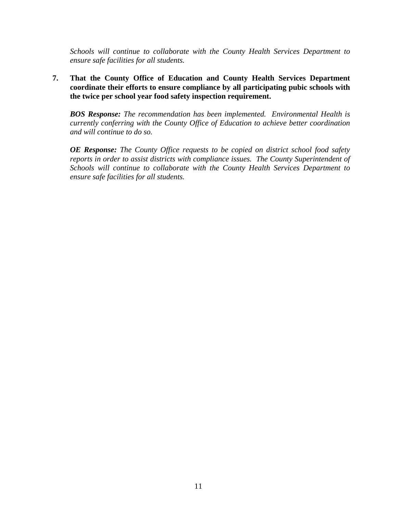*Schools will continue to collaborate with the County Health Services Department to ensure safe facilities for all students.* 

**7. That the County Office of Education and County Health Services Department coordinate their efforts to ensure compliance by all participating pubic schools with the twice per school year food safety inspection requirement.** 

*BOS Response: The recommendation has been implemented. Environmental Health is currently conferring with the County Office of Education to achieve better coordination and will continue to do so.*

*OE Response: The County Office requests to be copied on district school food safety reports in order to assist districts with compliance issues. The County Superintendent of Schools will continue to collaborate with the County Health Services Department to ensure safe facilities for all students.*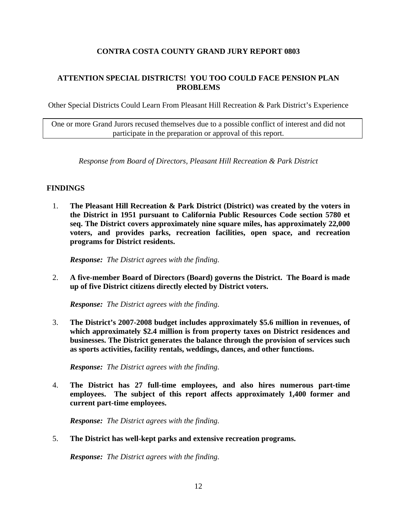# **CONTRA COSTA COUNTY GRAND JURY REPORT 0803**

# **ATTENTION SPECIAL DISTRICTS! YOU TOO COULD FACE PENSION PLAN PROBLEMS**

Other Special Districts Could Learn From Pleasant Hill Recreation & Park District's Experience

One or more Grand Jurors recused themselves due to a possible conflict of interest and did not participate in the preparation or approval of this report.

*Response from Board of Directors, Pleasant Hill Recreation & Park District*

# **FINDINGS**

1. **The Pleasant Hill Recreation & Park District (District) was created by the voters in the District in 1951 pursuant to California Public Resources Code section 5780 et seq. The District covers approximately nine square miles, has approximately 22,000 voters, and provides parks, recreation facilities, open space, and recreation programs for District residents.** 

*Response: The District agrees with the finding.* 

2. **A five-member Board of Directors (Board) governs the District. The Board is made up of five District citizens directly elected by District voters.** 

*Response: The District agrees with the finding.* 

3. **The District's 2007-2008 budget includes approximately \$5.6 million in revenues, of which approximately \$2.4 million is from property taxes on District residences and businesses. The District generates the balance through the provision of services such as sports activities, facility rentals, weddings, dances, and other functions.** 

*Response: The District agrees with the finding.* 

4. **The District has 27 full-time employees, and also hires numerous part-time employees. The subject of this report affects approximately 1,400 former and current part-time employees.** 

*Response: The District agrees with the finding.* 

5. **The District has well-kept parks and extensive recreation programs.** 

*Response: The District agrees with the finding.*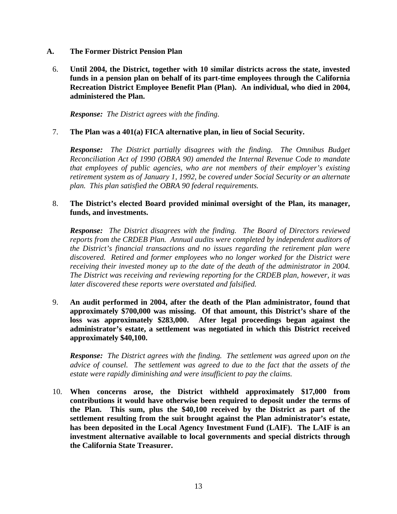- **A. The Former District Pension Plan** 
	- 6. **Until 2004, the District, together with 10 similar districts across the state, invested funds in a pension plan on behalf of its part-time employees through the California Recreation District Employee Benefit Plan (Plan). An individual, who died in 2004, administered the Plan.**

*Response: The District agrees with the finding.* 

#### 7. **The Plan was a 401(a) FICA alternative plan, in lieu of Social Security.**

*Response: The District partially disagrees with the finding. The Omnibus Budget Reconciliation Act of 1990 (OBRA 90) amended the Internal Revenue Code to mandate that employees of public agencies, who are not members of their employer's existing retirement system as of January 1, 1992, be covered under Social Security or an alternate plan. This plan satisfied the OBRA 90 federal requirements.* 

#### 8. **The District's elected Board provided minimal oversight of the Plan, its manager, funds, and investments.**

*Response: The District disagrees with the finding. The Board of Directors reviewed reports from the CRDEB Plan. Annual audits were completed by independent auditors of the District's financial transactions and no issues regarding the retirement plan were discovered. Retired and former employees who no longer worked for the District were receiving their invested money up to the date of the death of the administrator in 2004. The District was receiving and reviewing reporting for the CRDEB plan, however, it was later discovered these reports were overstated and falsified.* 

9. **An audit performed in 2004, after the death of the Plan administrator, found that approximately \$700,000 was missing. Of that amount, this District's share of the loss was approximately \$283,000. After legal proceedings began against the administrator's estate, a settlement was negotiated in which this District received approximately \$40,100.** 

*Response: The District agrees with the finding. The settlement was agreed upon on the advice of counsel. The settlement was agreed to due to the fact that the assets of the estate were rapidly diminishing and were insufficient to pay the claims.* 

10. **When concerns arose, the District withheld approximately \$17,000 from contributions it would have otherwise been required to deposit under the terms of the Plan. This sum, plus the \$40,100 received by the District as part of the settlement resulting from the suit brought against the Plan administrator's estate, has been deposited in the Local Agency Investment Fund (LAIF). The LAIF is an investment alternative available to local governments and special districts through the California State Treasurer.**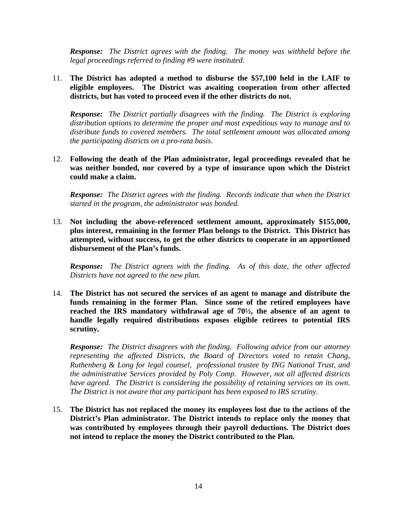*Response: The District agrees with the finding. The money was withheld before the legal proceedings referred to finding #9 were instituted.* 

# 11. **The District has adopted a method to disburse the \$57,100 held in the LAIF to eligible employees. The District was awaiting cooperation from other affected districts, but has voted to proceed even if the other districts do not.**

*Response: The District partially disagrees with the finding. The District is exploring distribution options to determine the proper and most expeditious way to manage and to distribute funds to covered members. The total settlement amount was allocated among the participating districts on a pro-rata basis.* 

12. **Following the death of the Plan administrator, legal proceedings revealed that he was neither bonded, nor covered by a type of insurance upon which the District could make a claim.** 

*Response: The District agrees with the finding. Records indicate that when the District started in the program, the administrator was bonded.* 

13. **Not including the above-referenced settlement amount, approximately \$155,000, plus interest, remaining in the former Plan belongs to the District. This District has attempted, without success, to get the other districts to cooperate in an apportioned disbursement of the Plan's funds.** 

*Response: The District agrees with the finding. As of this date, the other affected Districts have not agreed to the new plan.* 

14. **The District has not secured the services of an agent to manage and distribute the funds remaining in the former Plan. Since some of the retired employees have reached the IRS mandatory withdrawal age of 70½, the absence of an agent to handle legally required distributions exposes eligible retirees to potential IRS scrutiny.** 

*Response: The District disagrees with the finding. Following advice from our attorney representing the affected Districts, the Board of Directors voted to retain Chang, Ruthenberg & Long for legal counsel, professional trustee by ING National Trust, and the administrative Services provided by Poly Comp. However, not all affected districts have agreed. The District is considering the possibility of retaining services on its own. The District is not aware that any participant has been exposed to IRS scrutiny.* 

15. **The District has not replaced the money its employees lost due to the actions of the District's Plan administrator. The District intends to replace only the money that was contributed by employees through their payroll deductions. The District does not intend to replace the money the District contributed to the Plan.**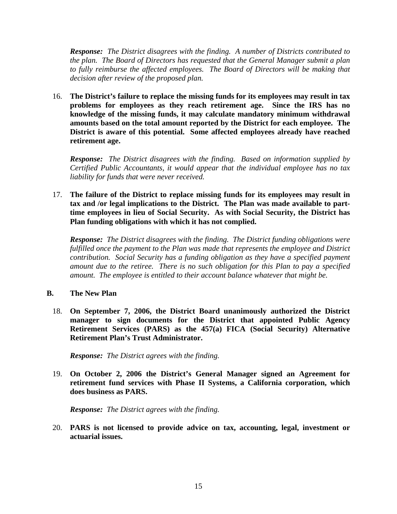*Response: The District disagrees with the finding. A number of Districts contributed to the plan. The Board of Directors has requested that the General Manager submit a plan*  to fully reimburse the affected employees. The Board of Directors will be making that *decision after review of the proposed plan.* 

16. **The District's failure to replace the missing funds for its employees may result in tax problems for employees as they reach retirement age. Since the IRS has no knowledge of the missing funds, it may calculate mandatory minimum withdrawal amounts based on the total amount reported by the District for each employee. The District is aware of this potential. Some affected employees already have reached retirement age.** 

*Response: The District disagrees with the finding. Based on information supplied by Certified Public Accountants, it would appear that the individual employee has no tax liability for funds that were never received.* 

17. **The failure of the District to replace missing funds for its employees may result in tax and /or legal implications to the District. The Plan was made available to parttime employees in lieu of Social Security. As with Social Security, the District has Plan funding obligations with which it has not complied.** 

*Response: The District disagrees with the finding. The District funding obligations were fulfilled once the payment to the Plan was made that represents the employee and District contribution. Social Security has a funding obligation as they have a specified payment amount due to the retiree. There is no such obligation for this Plan to pay a specified amount. The employee is entitled to their account balance whatever that might be.* 

#### **B. The New Plan**

18. **On September 7, 2006, the District Board unanimously authorized the District manager to sign documents for the District that appointed Public Agency Retirement Services (PARS) as the 457(a) FICA (Social Security) Alternative Retirement Plan's Trust Administrator.** 

*Response: The District agrees with the finding.* 

19. **On October 2, 2006 the District's General Manager signed an Agreement for retirement fund services with Phase II Systems, a California corporation, which does business as PARS.** 

*Response: The District agrees with the finding.* 

20. **PARS is not licensed to provide advice on tax, accounting, legal, investment or actuarial issues.**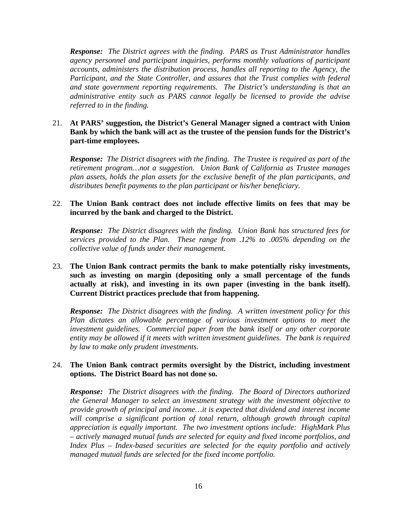*Response: The District agrees with the finding. PARS as Trust Administrator handles agency personnel and participant inquiries, performs monthly valuations of participant accounts, administers the distribution process, handles all reporting to the Agency, the Participant, and the State Controller, and assures that the Trust complies with federal and state government reporting requirements. The District's understanding is that an administrative entity such as PARS cannot legally be licensed to provide the advise referred to in the finding.* 

# 21. **At PARS' suggestion, the District's General Manager signed a contract with Union Bank by which the bank will act as the trustee of the pension funds for the District's part-time employees.**

*Response: The District disagrees with the finding. The Trustee is required as part of the retirement program…not a suggestion. Union Bank of California as Trustee manages plan assets, holds the plan assets for the exclusive benefit of the plan participants, and distributes benefit payments to the plan participant or his/her beneficiary.* 

# 22. **The Union Bank contract does not include effective limits on fees that may be incurred by the bank and charged to the District.**

*Response: The District disagrees with the finding. Union Bank has structured fees for services provided to the Plan. These range from .12% to .005% depending on the collective value of funds under their management.* 

# 23. **The Union Bank contract permits the bank to make potentially risky investments, such as investing on margin (depositing only a small percentage of the funds actually at risk), and investing in its own paper (investing in the bank itself). Current District practices preclude that from happening.**

*Response: The District disagrees with the finding. A written investment policy for this Plan dictates an allowable percentage of various investment options to meet the investment guidelines. Commercial paper from the bank itself or any other corporate entity may be allowed if it meets with written investment guidelines. The bank is required by law to make only prudent investments.* 

#### 24. **The Union Bank contract permits oversight by the District, including investment options. The District Board has not done so.**

*Response: The District disagrees with the finding. The Board of Directors authorized the General Manager to select an investment strategy with the investment objective to provide growth of principal and income…it is expected that dividend and interest income*  will comprise a significant portion of total return, although growth through capital *appreciation is equally important. The two investment options include: HighMark Plus – actively managed mutual funds are selected for equity and fixed income portfolios, and Index Plus – Index-based securities are selected for the equity portfolio and actively managed mutual funds are selected for the fixed income portfolio.*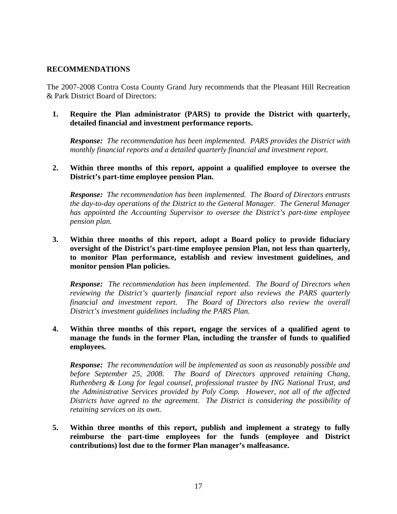### **RECOMMENDATIONS**

The 2007-2008 Contra Costa County Grand Jury recommends that the Pleasant Hill Recreation & Park District Board of Directors:

**1. Require the Plan administrator (PARS) to provide the District with quarterly, detailed financial and investment performance reports.** 

*Response: The recommendation has been implemented. PARS provides the District with monthly financial reports and a detailed quarterly financial and investment report.* 

**2. Within three months of this report, appoint a qualified employee to oversee the District's part-time employee pension Plan.** 

*Response: The recommendation has been implemented. The Board of Directors entrusts the day-to-day operations of the District to the General Manager. The General Manager has appointed the Accounting Supervisor to oversee the District's part-time employee pension plan.* 

**3. Within three months of this report, adopt a Board policy to provide fiduciary oversight of the District's part-time employee pension Plan, not less than quarterly, to monitor Plan performance, establish and review investment guidelines, and monitor pension Plan policies.** 

*Response: The recommendation has been implemented. The Board of Directors when reviewing the District's quarterly financial report also reviews the PARS quarterly financial and investment report. The Board of Directors also review the overall District's investment guidelines including the PARS Plan.* 

**4. Within three months of this report, engage the services of a qualified agent to manage the funds in the former Plan, including the transfer of funds to qualified employees.** 

*Response: The recommendation will be implemented as soon as reasonably possible and before September 25, 2008. The Board of Directors approved retaining Chang, Ruthenberg & Long for legal counsel, professional trustee by ING National Trust, and the Administrative Services provided by Poly Comp. However, not all of the affected Districts have agreed to the agreement. The District is considering the possibility of retaining services on its own.* 

**5. Within three months of this report, publish and implement a strategy to fully reimburse the part-time employees for the funds (employee and District contributions) lost due to the former Plan manager's malfeasance.**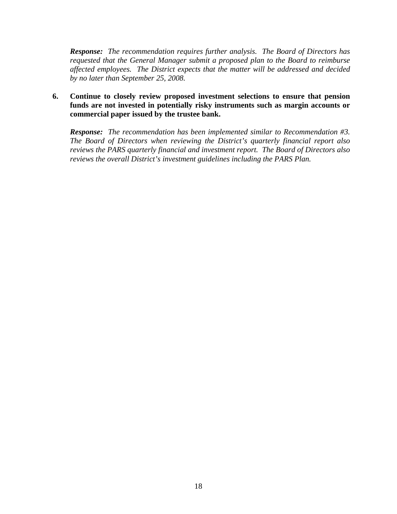*Response: The recommendation requires further analysis. The Board of Directors has requested that the General Manager submit a proposed plan to the Board to reimburse affected employees. The District expects that the matter will be addressed and decided by no later than September 25, 2008.* 

**6. Continue to closely review proposed investment selections to ensure that pension funds are not invested in potentially risky instruments such as margin accounts or commercial paper issued by the trustee bank.** 

*Response: The recommendation has been implemented similar to Recommendation #3. The Board of Directors when reviewing the District's quarterly financial report also reviews the PARS quarterly financial and investment report. The Board of Directors also reviews the overall District's investment guidelines including the PARS Plan.*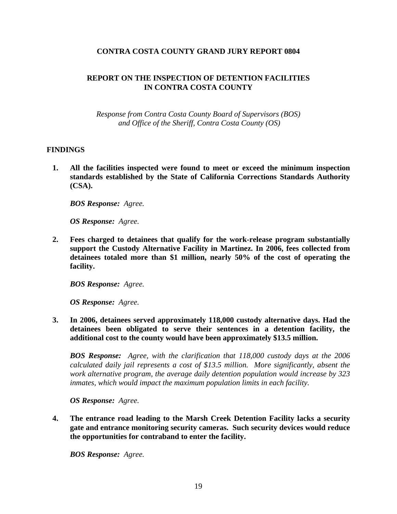# **CONTRA COSTA COUNTY GRAND JURY REPORT 0804**

# **REPORT ON THE INSPECTION OF DETENTION FACILITIES IN CONTRA COSTA COUNTY**

*Response from Contra Costa County Board of Supervisors (BOS) and Office of the Sheriff, Contra Costa County (OS)* 

#### **FINDINGS**

**1. All the facilities inspected were found to meet or exceed the minimum inspection standards established by the State of California Corrections Standards Authority (CSA).** 

*BOS Response: Agree.* 

*OS Response: Agree.* 

**2. Fees charged to detainees that qualify for the work-release program substantially support the Custody Alternative Facility in Martinez. In 2006, fees collected from detainees totaled more than \$1 million, nearly 50% of the cost of operating the facility.** 

*BOS Response: Agree.* 

*OS Response: Agree.* 

**3. In 2006, detainees served approximately 118,000 custody alternative days. Had the detainees been obligated to serve their sentences in a detention facility, the additional cost to the county would have been approximately \$13.5 million.** 

*BOS Response: Agree, with the clarification that 118,000 custody days at the 2006 calculated daily jail represents a cost of \$13.5 million. More significantly, absent the work alternative program, the average daily detention population would increase by 323 inmates, which would impact the maximum population limits in each facility.* 

*OS Response: Agree.* 

**4. The entrance road leading to the Marsh Creek Detention Facility lacks a security gate and entrance monitoring security cameras. Such security devices would reduce the opportunities for contraband to enter the facility.** 

*BOS Response: Agree.*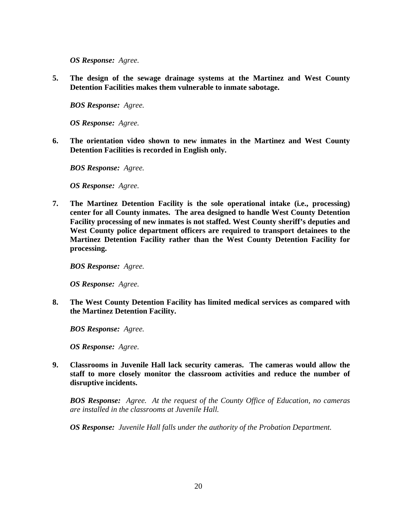*OS Response: Agree.* 

**5. The design of the sewage drainage systems at the Martinez and West County Detention Facilities makes them vulnerable to inmate sabotage.** 

*BOS Response: Agree.* 

*OS Response: Agree.* 

**6. The orientation video shown to new inmates in the Martinez and West County Detention Facilities is recorded in English only.** 

*BOS Response: Agree.* 

*OS Response: Agree.* 

**7. The Martinez Detention Facility is the sole operational intake (i.e., processing) center for all County inmates. The area designed to handle West County Detention Facility processing of new inmates is not staffed. West County sheriff's deputies and West County police department officers are required to transport detainees to the Martinez Detention Facility rather than the West County Detention Facility for processing.** 

*BOS Response: Agree.* 

*OS Response: Agree.* 

**8. The West County Detention Facility has limited medical services as compared with the Martinez Detention Facility.** 

*BOS Response: Agree.* 

*OS Response: Agree.* 

**9. Classrooms in Juvenile Hall lack security cameras. The cameras would allow the staff to more closely monitor the classroom activities and reduce the number of disruptive incidents.** 

*BOS Response: Agree. At the request of the County Office of Education, no cameras are installed in the classrooms at Juvenile Hall.* 

*OS Response: Juvenile Hall falls under the authority of the Probation Department.*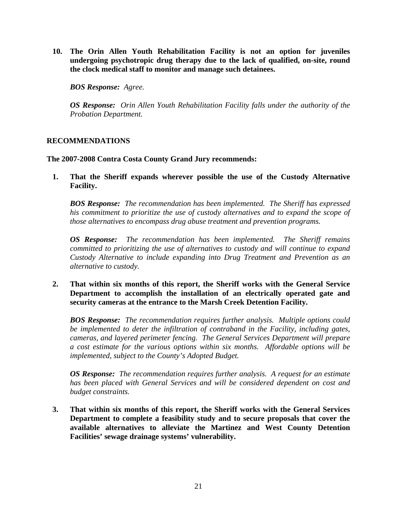**10. The Orin Allen Youth Rehabilitation Facility is not an option for juveniles undergoing psychotropic drug therapy due to the lack of qualified, on-site, round the clock medical staff to monitor and manage such detainees.** 

*BOS Response: Agree.* 

*OS Response: Orin Allen Youth Rehabilitation Facility falls under the authority of the Probation Department.* 

# **RECOMMENDATIONS**

**The 2007-2008 Contra Costa County Grand Jury recommends:** 

**1. That the Sheriff expands wherever possible the use of the Custody Alternative Facility.** 

*BOS Response: The recommendation has been implemented. The Sheriff has expressed his commitment to prioritize the use of custody alternatives and to expand the scope of those alternatives to encompass drug abuse treatment and prevention programs.* 

*OS Response: The recommendation has been implemented. The Sheriff remains committed to prioritizing the use of alternatives to custody and will continue to expand Custody Alternative to include expanding into Drug Treatment and Prevention as an alternative to custody.* 

**2. That within six months of this report, the Sheriff works with the General Service Department to accomplish the installation of an electrically operated gate and security cameras at the entrance to the Marsh Creek Detention Facility.** 

*BOS Response: The recommendation requires further analysis. Multiple options could be implemented to deter the infiltration of contraband in the Facility, including gates, cameras, and layered perimeter fencing. The General Services Department will prepare a cost estimate for the various options within six months. Affordable options will be implemented, subject to the County's Adopted Budget.* 

*OS Response: The recommendation requires further analysis. A request for an estimate has been placed with General Services and will be considered dependent on cost and budget constraints.* 

**3. That within six months of this report, the Sheriff works with the General Services Department to complete a feasibility study and to secure proposals that cover the available alternatives to alleviate the Martinez and West County Detention Facilities' sewage drainage systems' vulnerability.**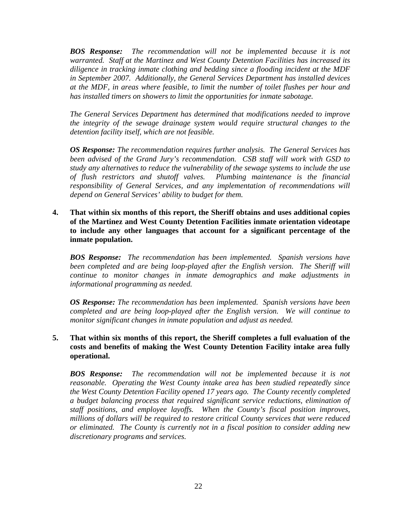*BOS Response: The recommendation will not be implemented because it is not warranted. Staff at the Martinez and West County Detention Facilities has increased its diligence in tracking inmate clothing and bedding since a flooding incident at the MDF in September 2007. Additionally, the General Services Department has installed devices at the MDF, in areas where feasible, to limit the number of toilet flushes per hour and has installed timers on showers to limit the opportunities for inmate sabotage.* 

*The General Services Department has determined that modifications needed to improve the integrity of the sewage drainage system would require structural changes to the detention facility itself, which are not feasible.* 

*OS Response: The recommendation requires further analysis. The General Services has been advised of the Grand Jury's recommendation. CSB staff will work with GSD to study any alternatives to reduce the vulnerability of the sewage systems to include the use of flush restrictors and shutoff valves. Plumbing maintenance is the financial responsibility of General Services, and any implementation of recommendations will depend on General Services' ability to budget for them.* 

**4. That within six months of this report, the Sheriff obtains and uses additional copies of the Martinez and West County Detention Facilities inmate orientation videotape to include any other languages that account for a significant percentage of the inmate population.** 

*BOS Response: The recommendation has been implemented. Spanish versions have*  been completed and are being loop-played after the English version. The Sheriff will *continue to monitor changes in inmate demographics and make adjustments in informational programming as needed.* 

*OS Response: The recommendation has been implemented. Spanish versions have been completed and are being loop-played after the English version. We will continue to monitor significant changes in inmate population and adjust as needed.* 

# **5. That within six months of this report, the Sheriff completes a full evaluation of the costs and benefits of making the West County Detention Facility intake area fully operational.**

*BOS Response: The recommendation will not be implemented because it is not reasonable. Operating the West County intake area has been studied repeatedly since the West County Detention Facility opened 17 years ago. The County recently completed a budget balancing process that required significant service reductions, elimination of staff positions, and employee layoffs. When the County's fiscal position improves, millions of dollars will be required to restore critical County services that were reduced or eliminated. The County is currently not in a fiscal position to consider adding new discretionary programs and services.*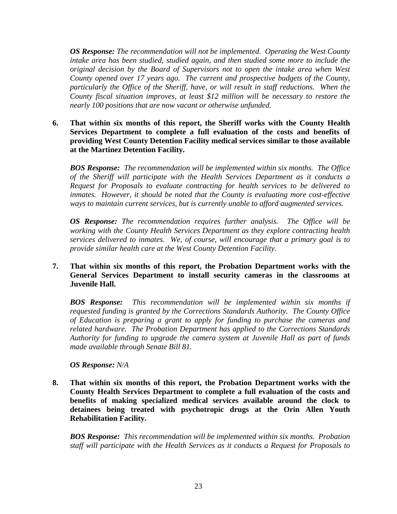*OS Response: The recommendation will not be implemented. Operating the West County intake area has been studied, studied again, and then studied some more to include the original decision by the Board of Supervisors not to open the intake area when West County opened over 17 years ago. The current and prospective budgets of the County, particularly the Office of the Sheriff, have, or will result in staff reductions. When the County fiscal situation improves, at least \$12 million will be necessary to restore the nearly 100 positions that are now vacant or otherwise unfunded.* 

**6. That within six months of this report, the Sheriff works with the County Health Services Department to complete a full evaluation of the costs and benefits of providing West County Detention Facility medical services similar to those available at the Martinez Detention Facility.** 

*BOS Response: The recommendation will be implemented within six months. The Office of the Sheriff will participate with the Health Services Department as it conducts a Request for Proposals to evaluate contracting for health services to be delivered to inmates. However, it should be noted that the County is evaluating more cost-effective ways to maintain current services, but is currently unable to afford augmented services.* 

*OS Response: The recommendation requires further analysis. The Office will be working with the County Health Services Department as they explore contracting health services delivered to inmates. We, of course, will encourage that a primary goal is to provide similar health care at the West County Detention Facility.* 

# **7. That within six months of this report, the Probation Department works with the General Services Department to install security cameras in the classrooms at Juvenile Hall.**

*BOS Response: This recommendation will be implemented within six months if requested funding is granted by the Corrections Standards Authority. The County Office of Education is preparing a grant to apply for funding to purchase the cameras and related hardware. The Probation Department has applied to the Corrections Standards Authority for funding to upgrade the camera system at Juvenile Hall as part of funds made available through Senate Bill 81.* 

*OS Response: N/A* 

**8. That within six months of this report, the Probation Department works with the County Health Services Department to complete a full evaluation of the costs and benefits of making specialized medical services available around the clock to detainees being treated with psychotropic drugs at the Orin Allen Youth Rehabilitation Facility.** 

*BOS Response: This recommendation will be implemented within six months. Probation staff will participate with the Health Services as it conducts a Request for Proposals to*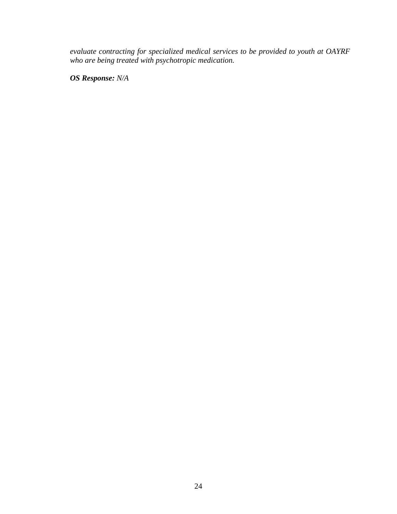*evaluate contracting for specialized medical services to be provided to youth at OAYRF who are being treated with psychotropic medication.* 

*OS Response: N/A*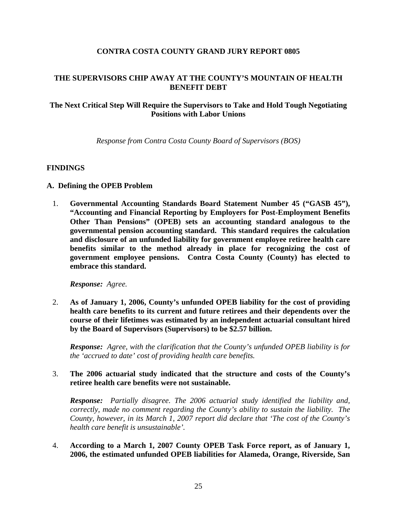### **CONTRA COSTA COUNTY GRAND JURY REPORT 0805**

# **THE SUPERVISORS CHIP AWAY AT THE COUNTY'S MOUNTAIN OF HEALTH BENEFIT DEBT**

# **The Next Critical Step Will Require the Supervisors to Take and Hold Tough Negotiating Positions with Labor Unions**

*Response from Contra Costa County Board of Supervisors (BOS)* 

#### **FINDINGS**

#### **A. Defining the OPEB Problem**

1. **Governmental Accounting Standards Board Statement Number 45 ("GASB 45"), "Accounting and Financial Reporting by Employers for Post-Employment Benefits Other Than Pensions" (OPEB) sets an accounting standard analogous to the governmental pension accounting standard. This standard requires the calculation and disclosure of an unfunded liability for government employee retiree health care benefits similar to the method already in place for recognizing the cost of government employee pensions. Contra Costa County (County) has elected to embrace this standard.** 

*Response: Agree.*

2. **As of January 1, 2006, County's unfunded OPEB liability for the cost of providing health care benefits to its current and future retirees and their dependents over the course of their lifetimes was estimated by an independent actuarial consultant hired by the Board of Supervisors (Supervisors) to be \$2.57 billion.** 

*Response: Agree, with the clarification that the County's unfunded OPEB liability is for the 'accrued to date' cost of providing health care benefits.*

3. **The 2006 actuarial study indicated that the structure and costs of the County's retiree health care benefits were not sustainable.** 

*Response: Partially disagree. The 2006 actuarial study identified the liability and, correctly, made no comment regarding the County's ability to sustain the liability. The County, however, in its March 1, 2007 report did declare that 'The cost of the County's health care benefit is unsustainable'.*

4. **According to a March 1, 2007 County OPEB Task Force report, as of January 1, 2006, the estimated unfunded OPEB liabilities for Alameda, Orange, Riverside, San**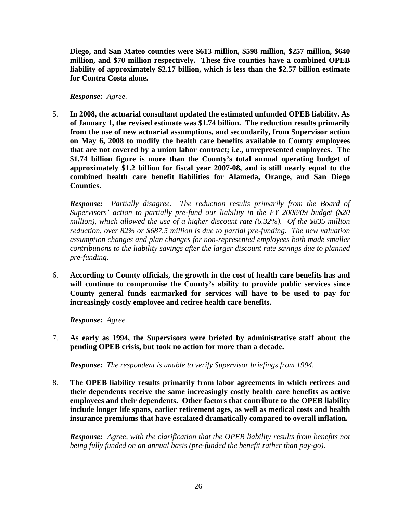**Diego, and San Mateo counties were \$613 million, \$598 million, \$257 million, \$640 million, and \$70 million respectively. These five counties have a combined OPEB liability of approximately \$2.17 billion, which is less than the \$2.57 billion estimate for Contra Costa alone.** 

*Response: Agree.*

5. **In 2008, the actuarial consultant updated the estimated unfunded OPEB liability. As of January 1, the revised estimate was \$1.74 billion. The reduction results primarily from the use of new actuarial assumptions, and secondarily, from Supervisor action on May 6, 2008 to modify the health care benefits available to County employees that are not covered by a union labor contract; i.e., unrepresented employees. The \$1.74 billion figure is more than the County's total annual operating budget of approximately \$1.2 billion for fiscal year 2007-08, and is still nearly equal to the combined health care benefit liabilities for Alameda, Orange, and San Diego Counties.** 

*Response: Partially disagree. The reduction results primarily from the Board of Supervisors' action to partially pre-fund our liability in the FY 2008/09 budget (\$20 million), which allowed the use of a higher discount rate (6.32%). Of the \$835 million reduction, over 82% or \$687.5 million is due to partial pre-funding. The new valuation assumption changes and plan changes for non-represented employees both made smaller contributions to the liability savings after the larger discount rate savings due to planned pre-funding.*

6. **According to County officials, the growth in the cost of health care benefits has and will continue to compromise the County's ability to provide public services since County general funds earmarked for services will have to be used to pay for increasingly costly employee and retiree health care benefits.** 

*Response: Agree.*

7. **As early as 1994, the Supervisors were briefed by administrative staff about the pending OPEB crisis, but took no action for more than a decade.** 

*Response: The respondent is unable to verify Supervisor briefings from 1994.*

8. **The OPEB liability results primarily from labor agreements in which retirees and their dependents receive the same increasingly costly health care benefits as active employees and their dependents. Other factors that contribute to the OPEB liability include longer life spans, earlier retirement ages, as well as medical costs and health insurance premiums that have escalated dramatically compared to overall inflation***.*

*Response: Agree, with the clarification that the OPEB liability results from benefits not being fully funded on an annual basis (pre-funded the benefit rather than pay-go).*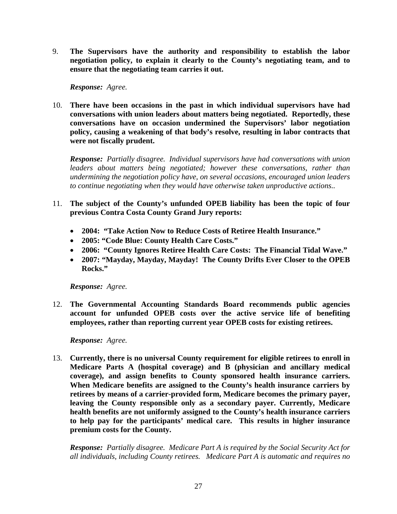9. **The Supervisors have the authority and responsibility to establish the labor negotiation policy, to explain it clearly to the County's negotiating team, and to ensure that the negotiating team carries it out.** 

*Response: Agree.*

10. **There have been occasions in the past in which individual supervisors have had conversations with union leaders about matters being negotiated. Reportedly, these conversations have on occasion undermined the Supervisors' labor negotiation policy, causing a weakening of that body's resolve, resulting in labor contracts that were not fiscally prudent.** 

*Response: Partially disagree. Individual supervisors have had conversations with union leaders about matters being negotiated; however these conversations, rather than undermining the negotiation policy have, on several occasions, encouraged union leaders to continue negotiating when they would have otherwise taken unproductive actions..*

- 11. **The subject of the County's unfunded OPEB liability has been the topic of four previous Contra Costa County Grand Jury reports:** 
	- **2004: "Take Action Now to Reduce Costs of Retiree Health Insurance."**
	- **2005: "Code Blue: County Health Care Costs."**
	- **2006: "County Ignores Retiree Health Care Costs: The Financial Tidal Wave."**
	- **2007: "Mayday, Mayday, Mayday! The County Drifts Ever Closer to the OPEB Rocks."**

*Response: Agree.*

12. **The Governmental Accounting Standards Board recommends public agencies account for unfunded OPEB costs over the active service life of benefiting employees, rather than reporting current year OPEB costs for existing retirees.** 

*Response: Agree.*

13. **Currently, there is no universal County requirement for eligible retirees to enroll in Medicare Parts A (hospital coverage) and B (physician and ancillary medical coverage), and assign benefits to County sponsored health insurance carriers. When Medicare benefits are assigned to the County's health insurance carriers by retirees by means of a carrier-provided form, Medicare becomes the primary payer, leaving the County responsible only as a secondary payer. Currently, Medicare health benefits are not uniformly assigned to the County's health insurance carriers to help pay for the participants' medical care. This results in higher insurance premium costs for the County.** 

*Response: Partially disagree. Medicare Part A is required by the Social Security Act for all individuals, including County retirees. Medicare Part A is automatic and requires no*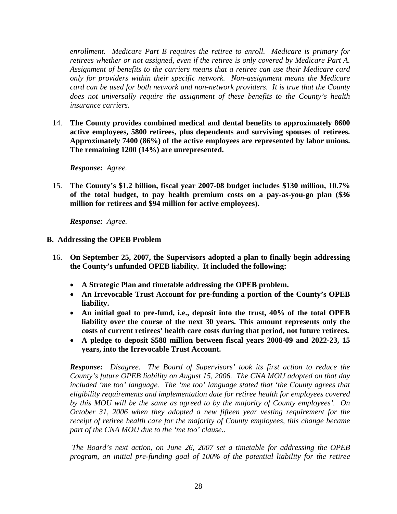*enrollment. Medicare Part B requires the retiree to enroll. Medicare is primary for retirees whether or not assigned, even if the retiree is only covered by Medicare Part A. Assignment of benefits to the carriers means that a retiree can use their Medicare card only for providers within their specific network. Non-assignment means the Medicare card can be used for both network and non-network providers. It is true that the County does not universally require the assignment of these benefits to the County's health insurance carriers.* 

14. **The County provides combined medical and dental benefits to approximately 8600 active employees, 5800 retirees, plus dependents and surviving spouses of retirees. Approximately 7400 (86%) of the active employees are represented by labor unions. The remaining 1200 (14%) are unrepresented.** 

*Response: Agree.*

15. **The County's \$1.2 billion, fiscal year 2007-08 budget includes \$130 million, 10.7% of the total budget, to pay health premium costs on a pay-as-you-go plan (\$36 million for retirees and \$94 million for active employees).** 

*Response: Agree.*

# **B. Addressing the OPEB Problem**

- 16. **On September 25, 2007, the Supervisors adopted a plan to finally begin addressing the County's unfunded OPEB liability. It included the following:** 
	- **A Strategic Plan and timetable addressing the OPEB problem.**
	- **An Irrevocable Trust Account for pre-funding a portion of the County's OPEB liability.**
	- **An initial goal to pre-fund, i.e., deposit into the trust, 40% of the total OPEB liability over the course of the next 30 years. This amount represents only the costs of current retirees' health care costs during that period, not future retirees.**
	- **A pledge to deposit \$588 million between fiscal years 2008-09 and 2022-23, 15 years, into the Irrevocable Trust Account.**

*Response: Disagree. The Board of Supervisors' took its first action to reduce the County's future OPEB liability on August 15, 2006. The CNA MOU adopted on that day included 'me too' language. The 'me too' language stated that 'the County agrees that eligibility requirements and implementation date for retiree health for employees covered by this MOU will be the same as agreed to by the majority of County employees'. On October 31, 2006 when they adopted a new fifteen year vesting requirement for the receipt of retiree health care for the majority of County employees, this change became part of the CNA MOU due to the 'me too' clause..* 

 *The Board's next action, on June 26, 2007 set a timetable for addressing the OPEB program, an initial pre-funding goal of 100% of the potential liability for the retiree*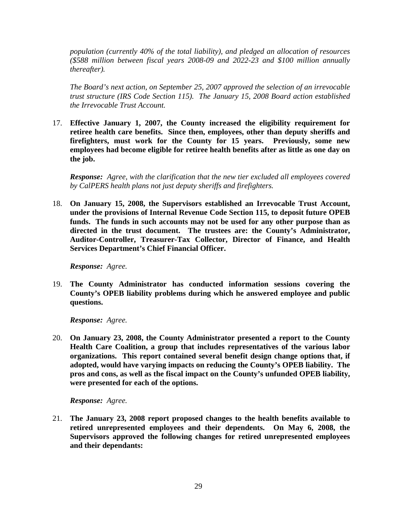*population (currently 40% of the total liability), and pledged an allocation of resources (\$588 million between fiscal years 2008-09 and 2022-23 and \$100 million annually thereafter).* 

*The Board's next action, on September 25, 2007 approved the selection of an irrevocable trust structure (IRS Code Section 115). The January 15, 2008 Board action established the Irrevocable Trust Account.* 

17. **Effective January 1, 2007, the County increased the eligibility requirement for retiree health care benefits. Since then, employees, other than deputy sheriffs and firefighters, must work for the County for 15 years. Previously, some new employees had become eligible for retiree health benefits after as little as one day on the job.** 

*Response: Agree, with the clarification that the new tier excluded all employees covered by CalPERS health plans not just deputy sheriffs and firefighters.* 

18. **On January 15, 2008, the Supervisors established an Irrevocable Trust Account, under the provisions of Internal Revenue Code Section 115, to deposit future OPEB funds. The funds in such accounts may not be used for any other purpose than as directed in the trust document. The trustees are: the County's Administrator, Auditor-Controller, Treasurer-Tax Collector, Director of Finance, and Health Services Department's Chief Financial Officer.** 

*Response: Agree.*

19. **The County Administrator has conducted information sessions covering the County's OPEB liability problems during which he answered employee and public questions.** 

*Response: Agree.* 

20. **On January 23, 2008, the County Administrator presented a report to the County Health Care Coalition, a group that includes representatives of the various labor organizations. This report contained several benefit design change options that, if adopted, would have varying impacts on reducing the County's OPEB liability. The pros and cons, as well as the fiscal impact on the County's unfunded OPEB liability, were presented for each of the options.** 

*Response: Agree.*

21. **The January 23, 2008 report proposed changes to the health benefits available to retired unrepresented employees and their dependents. On May 6, 2008, the Supervisors approved the following changes for retired unrepresented employees and their dependants:**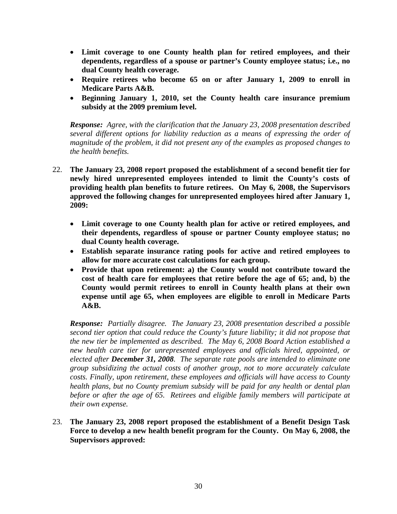- **Limit coverage to one County health plan for retired employees, and their dependents, regardless of a spouse or partner's County employee status; i.e., no dual County health coverage.**
- **Require retirees who become 65 on or after January 1, 2009 to enroll in Medicare Parts A&B.**
- **Beginning January 1, 2010, set the County health care insurance premium subsidy at the 2009 premium level.**

*Response: Agree, with the clarification that the January 23, 2008 presentation described several different options for liability reduction as a means of expressing the order of magnitude of the problem, it did not present any of the examples as proposed changes to the health benefits.* 

- 22. **The January 23, 2008 report proposed the establishment of a second benefit tier for newly hired unrepresented employees intended to limit the County's costs of providing health plan benefits to future retirees. On May 6, 2008, the Supervisors approved the following changes for unrepresented employees hired after January 1, 2009:** 
	- **Limit coverage to one County health plan for active or retired employees, and their dependents, regardless of spouse or partner County employee status; no dual County health coverage.**
	- **Establish separate insurance rating pools for active and retired employees to allow for more accurate cost calculations for each group.**
	- **Provide that upon retirement: a) the County would not contribute toward the cost of health care for employees that retire before the age of 65; and, b) the County would permit retirees to enroll in County health plans at their own expense until age 65, when employees are eligible to enroll in Medicare Parts A&B.**

*Response: Partially disagree. The January 23, 2008 presentation described a possible second tier option that could reduce the County's future liability; it did not propose that the new tier be implemented as described. The May 6, 2008 Board Action established a new health care tier for unrepresented employees and officials hired, appointed, or elected after December 31, 2008. The separate rate pools are intended to eliminate one group subsidizing the actual costs of another group, not to more accurately calculate costs. Finally, upon retirement, these employees and officials will have access to County health plans, but no County premium subsidy will be paid for any health or dental plan before or after the age of 65. Retirees and eligible family members will participate at their own expense.* 

23. **The January 23, 2008 report proposed the establishment of a Benefit Design Task Force to develop a new health benefit program for the County. On May 6, 2008, the Supervisors approved:**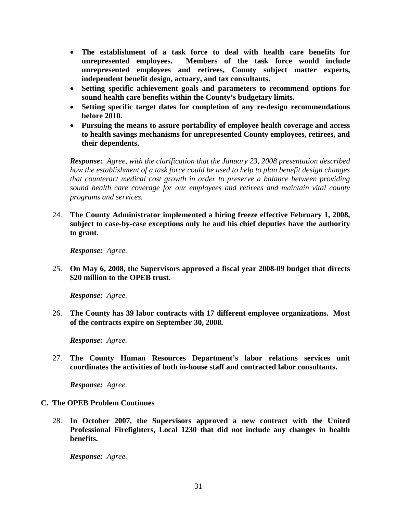- **The establishment of a task force to deal with health care benefits for unrepresented employees. Members of the task force would include unrepresented employees and retirees, County subject matter experts, independent benefit design, actuary, and tax consultants.**
- **Setting specific achievement goals and parameters to recommend options for sound health care benefits within the County's budgetary limits.**
- **Setting specific target dates for completion of any re-design recommendations before 2010.**
- **Pursuing the means to assure portability of employee health coverage and access to health savings mechanisms for unrepresented County employees, retirees, and their dependents.**

*Response: Agree, with the clarification that the January 23, 2008 presentation described how the establishment of a task force could be used to help to plan benefit design changes that counteract medical cost growth in order to preserve a balance between providing sound health care coverage for our employees and retirees and maintain vital county programs and services.* 

24. **The County Administrator implemented a hiring freeze effective February 1, 2008, subject to case-by-case exceptions only he and his chief deputies have the authority to grant.** 

*Response: Agree.*

25. **On May 6, 2008, the Supervisors approved a fiscal year 2008-09 budget that directs \$20 million to the OPEB trust.** 

*Response: Agree.*

26. **The County has 39 labor contracts with 17 different employee organizations. Most of the contracts expire on September 30, 2008.** 

*Response: Agree.*

27. **The County Human Resources Department's labor relations services unit coordinates the activities of both in-house staff and contracted labor consultants.** 

*Response: Agree.*

#### **C. The OPEB Problem Continues**

28. **In October 2007, the Supervisors approved a new contract with the United Professional Firefighters, Local 1230 that did not include any changes in health benefits.** 

*Response: Agree.*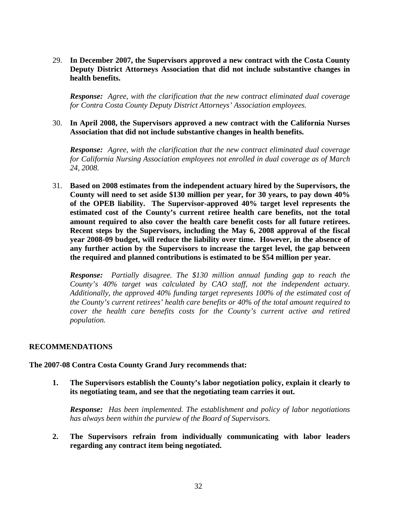29. **In December 2007, the Supervisors approved a new contract with the Costa County Deputy District Attorneys Association that did not include substantive changes in health benefits.** 

*Response: Agree, with the clarification that the new contract eliminated dual coverage for Contra Costa County Deputy District Attorneys' Association employees.*

#### 30. **In April 2008, the Supervisors approved a new contract with the California Nurses Association that did not include substantive changes in health benefits.**

*Response: Agree, with the clarification that the new contract eliminated dual coverage for California Nursing Association employees not enrolled in dual coverage as of March 24, 2008.*

31. **Based on 2008 estimates from the independent actuary hired by the Supervisors, the County will need to set aside \$130 million per year, for 30 years, to pay down 40% of the OPEB liability. The Supervisor-approved 40% target level represents the estimated cost of the County's current retiree health care benefits, not the total amount required to also cover the health care benefit costs for all future retirees. Recent steps by the Supervisors, including the May 6, 2008 approval of the fiscal year 2008-09 budget, will reduce the liability over time. However, in the absence of any further action by the Supervisors to increase the target level, the gap between the required and planned contributions is estimated to be \$54 million per year.** 

*Response: Partially disagree. The \$130 million annual funding gap to reach the County's 40% target was calculated by CAO staff, not the independent actuary. Additionally, the approved 40% funding target represents 100% of the estimated cost of the County's current retirees' health care benefits or 40% of the total amount required to cover the health care benefits costs for the County's current active and retired population.*

#### **RECOMMENDATIONS**

#### **The 2007-08 Contra Costa County Grand Jury recommends that:**

**1. The Supervisors establish the County's labor negotiation policy, explain it clearly to its negotiating team, and see that the negotiating team carries it out.** 

*Response: Has been implemented. The establishment and policy of labor negotiations has always been within the purview of the Board of Supervisors.*

**2. The Supervisors refrain from individually communicating with labor leaders regarding any contract item being negotiated.**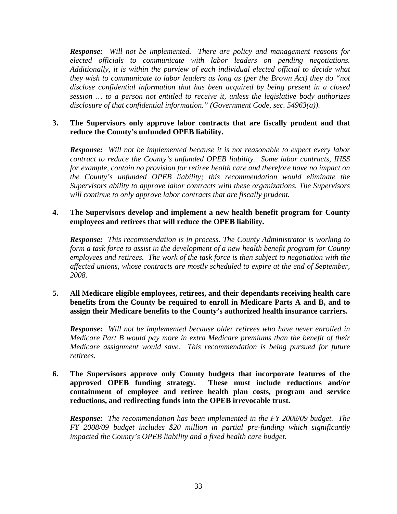*Response: Will not be implemented. There are policy and management reasons for elected officials to communicate with labor leaders on pending negotiations. Additionally, it is within the purview of each individual elected official to decide what they wish to communicate to labor leaders as long as (per the Brown Act) they do "not disclose confidential information that has been acquired by being present in a closed session … to a person not entitled to receive it, unless the legislative body authorizes disclosure of that confidential information." (Government Code, sec. 54963(a)).*

### **3. The Supervisors only approve labor contracts that are fiscally prudent and that reduce the County's unfunded OPEB liability.**

*Response: Will not be implemented because it is not reasonable to expect every labor contract to reduce the County's unfunded OPEB liability. Some labor contracts, IHSS for example, contain no provision for retiree health care and therefore have no impact on the County's unfunded OPEB liability; this recommendation would eliminate the Supervisors ability to approve labor contracts with these organizations. The Supervisors will continue to only approve labor contracts that are fiscally prudent.*

### **4. The Supervisors develop and implement a new health benefit program for County employees and retirees that will reduce the OPEB liability.**

*Response: This recommendation is in process. The County Administrator is working to form a task force to assist in the development of a new health benefit program for County employees and retirees. The work of the task force is then subject to negotiation with the affected unions, whose contracts are mostly scheduled to expire at the end of September, 2008.*

# **5. All Medicare eligible employees, retirees, and their dependants receiving health care benefits from the County be required to enroll in Medicare Parts A and B, and to assign their Medicare benefits to the County's authorized health insurance carriers.**

*Response: Will not be implemented because older retirees who have never enrolled in Medicare Part B would pay more in extra Medicare premiums than the benefit of their Medicare assignment would save. This recommendation is being pursued for future retirees.* 

# **6. The Supervisors approve only County budgets that incorporate features of the approved OPEB funding strategy. These must include reductions and/or containment of employee and retiree health plan costs, program and service reductions, and redirecting funds into the OPEB irrevocable trust.**

*Response: The recommendation has been implemented in the FY 2008/09 budget. The FY 2008/09 budget includes \$20 million in partial pre-funding which significantly impacted the County's OPEB liability and a fixed health care budget.*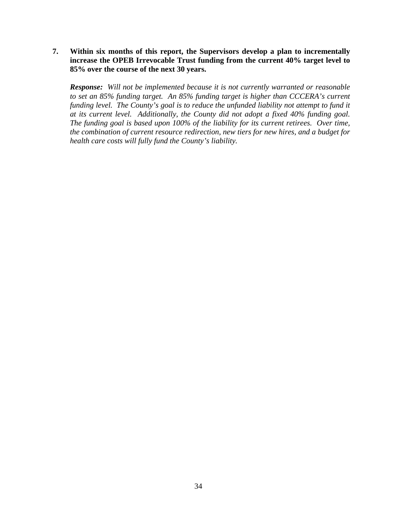**7. Within six months of this report, the Supervisors develop a plan to incrementally increase the OPEB Irrevocable Trust funding from the current 40% target level to 85% over the course of the next 30 years.** 

*Response: Will not be implemented because it is not currently warranted or reasonable to set an 85% funding target. An 85% funding target is higher than CCCERA's current funding level. The County's goal is to reduce the unfunded liability not attempt to fund it at its current level. Additionally, the County did not adopt a fixed 40% funding goal. The funding goal is based upon 100% of the liability for its current retirees. Over time, the combination of current resource redirection, new tiers for new hires, and a budget for health care costs will fully fund the County's liability.*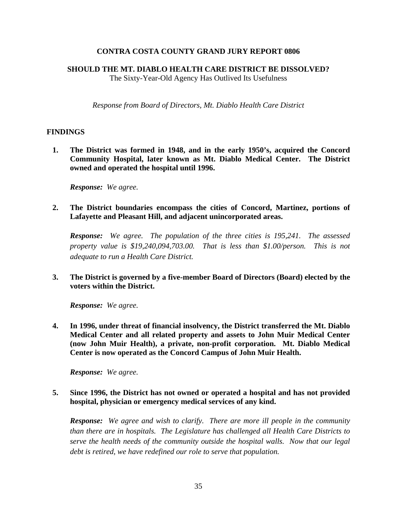### **CONTRA COSTA COUNTY GRAND JURY REPORT 0806**

#### **SHOULD THE MT. DIABLO HEALTH CARE DISTRICT BE DISSOLVED?**

The Sixty-Year-Old Agency Has Outlived Its Usefulness

*Response from Board of Directors, Mt. Diablo Health Care District* 

#### **FINDINGS**

**1. The District was formed in 1948, and in the early 1950's, acquired the Concord Community Hospital, later known as Mt. Diablo Medical Center. The District owned and operated the hospital until 1996.** 

*Response: We agree.* 

**2. The District boundaries encompass the cities of Concord, Martinez, portions of Lafayette and Pleasant Hill, and adjacent unincorporated areas.** 

*Response: We agree. The population of the three cities is 195,241. The assessed property value is \$19,240,094,703.00. That is less than \$1.00/person. This is not adequate to run a Health Care District.* 

**3. The District is governed by a five-member Board of Directors (Board) elected by the voters within the District.** 

*Response: We agree.* 

**4. In 1996, under threat of financial insolvency, the District transferred the Mt. Diablo Medical Center and all related property and assets to John Muir Medical Center (now John Muir Health), a private, non-profit corporation. Mt. Diablo Medical Center is now operated as the Concord Campus of John Muir Health.** 

*Response: We agree.* 

**5. Since 1996, the District has not owned or operated a hospital and has not provided hospital, physician or emergency medical services of any kind.** 

*Response: We agree and wish to clarify. There are more ill people in the community than there are in hospitals. The Legislature has challenged all Health Care Districts to serve the health needs of the community outside the hospital walls. Now that our legal debt is retired, we have redefined our role to serve that population.*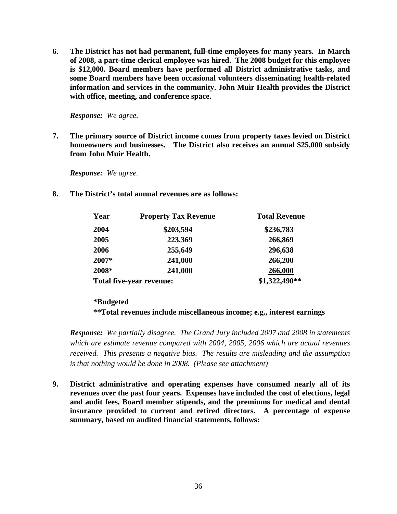**6. The District has not had permanent, full-time employees for many years. In March of 2008, a part-time clerical employee was hired. The 2008 budget for this employee is \$12,000. Board members have performed all District administrative tasks, and some Board members have been occasional volunteers disseminating health-related information and services in the community. John Muir Health provides the District with office, meeting, and conference space.** 

*Response: We agree.* 

**7. The primary source of District income comes from property taxes levied on District homeowners and businesses. The District also receives an annual \$25,000 subsidy from John Muir Health.** 

*Response: We agree.* 

**8. The District's total annual revenues are as follows:** 

| Year                            | <b>Property Tax Revenue</b> | <b>Total Revenue</b> |  |
|---------------------------------|-----------------------------|----------------------|--|
| 2004                            | \$203,594                   | \$236,783            |  |
| 2005                            | 223,369                     | 266,869              |  |
| 2006                            | 255,649                     | 296,638              |  |
| 2007*                           | 241,000                     | 266,200              |  |
| 2008*                           | 241,000                     | 266,000              |  |
| <b>Total five-year revenue:</b> |                             | \$1,322,490**        |  |

#### **\*Budgeted**

**\*\*Total revenues include miscellaneous income; e.g., interest earnings** 

*Response: We partially disagree. The Grand Jury included 2007 and 2008 in statements which are estimate revenue compared with 2004, 2005, 2006 which are actual revenues received. This presents a negative bias. The results are misleading and the assumption is that nothing would be done in 2008. (Please see attachment)* 

**9. District administrative and operating expenses have consumed nearly all of its revenues over the past four years. Expenses have included the cost of elections, legal and audit fees, Board member stipends, and the premiums for medical and dental insurance provided to current and retired directors. A percentage of expense summary, based on audited financial statements, follows:**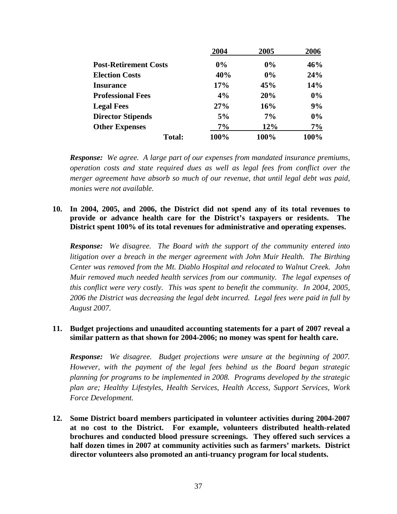|                              | 2004  | 2005  | 2006 |
|------------------------------|-------|-------|------|
| <b>Post-Retirement Costs</b> | $0\%$ | 0%    | 46%  |
| <b>Election Costs</b>        | 40%   | 0%    | 24%  |
| <b>Insurance</b>             | 17%   | 45%   | 14%  |
| <b>Professional Fees</b>     | 4%    | 20%   | 0%   |
| <b>Legal Fees</b>            | 27%   | 16%   | 9%   |
| <b>Director Stipends</b>     | 5%    | $7\%$ | 0%   |
| <b>Other Expenses</b>        | 7%    | 12%   | 7%   |
| <b>Total:</b>                | 100%  | 100%  | 100% |

*Response: We agree. A large part of our expenses from mandated insurance premiums, operation costs and state required dues as well as legal fees from conflict over the merger agreement have absorb so much of our revenue, that until legal debt was paid, monies were not available.* 

**10. In 2004, 2005, and 2006, the District did not spend any of its total revenues to provide or advance health care for the District's taxpayers or residents. The District spent 100% of its total revenues for administrative and operating expenses.** 

*Response: We disagree. The Board with the support of the community entered into litigation over a breach in the merger agreement with John Muir Health. The Birthing Center was removed from the Mt. Diablo Hospital and relocated to Walnut Creek. John Muir removed much needed health services from our community. The legal expenses of this conflict were very costly. This was spent to benefit the community. In 2004, 2005, 2006 the District was decreasing the legal debt incurred. Legal fees were paid in full by August 2007.* 

# **11. Budget projections and unaudited accounting statements for a part of 2007 reveal a similar pattern as that shown for 2004-2006; no money was spent for health care.**

*Response: We disagree. Budget projections were unsure at the beginning of 2007. However, with the payment of the legal fees behind us the Board began strategic planning for programs to be implemented in 2008. Programs developed by the strategic plan are; Healthy Lifestyles, Health Services, Health Access, Support Services, Work Force Development.* 

**12. Some District board members participated in volunteer activities during 2004-2007 at no cost to the District. For example, volunteers distributed health-related brochures and conducted blood pressure screenings. They offered such services a half dozen times in 2007 at community activities such as farmers' markets. District director volunteers also promoted an anti-truancy program for local students.**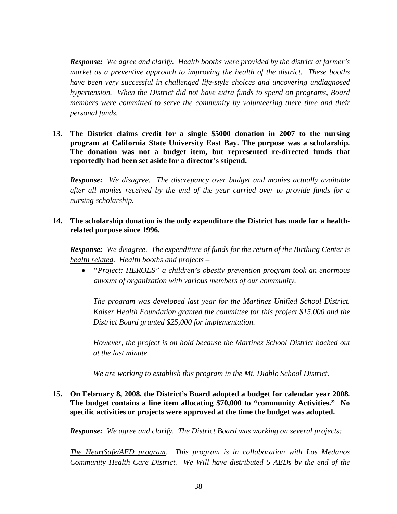*Response: We agree and clarify. Health booths were provided by the district at farmer's market as a preventive approach to improving the health of the district. These booths have been very successful in challenged life-style choices and uncovering undiagnosed hypertension. When the District did not have extra funds to spend on programs, Board members were committed to serve the community by volunteering there time and their personal funds.* 

**13. The District claims credit for a single \$5000 donation in 2007 to the nursing program at California State University East Bay. The purpose was a scholarship. The donation was not a budget item, but represented re-directed funds that reportedly had been set aside for a director's stipend.** 

*Response: We disagree. The discrepancy over budget and monies actually available after all monies received by the end of the year carried over to provide funds for a nursing scholarship.* 

# **14. The scholarship donation is the only expenditure the District has made for a healthrelated purpose since 1996.**

*Response: We disagree. The expenditure of funds for the return of the Birthing Center is health related. Health booths and projects –* 

• *"Project: HEROES" a children's obesity prevention program took an enormous amount of organization with various members of our community.* 

*The program was developed last year for the Martinez Unified School District. Kaiser Health Foundation granted the committee for this project \$15,000 and the District Board granted \$25,000 for implementation.* 

*However, the project is on hold because the Martinez School District backed out at the last minute.* 

*We are working to establish this program in the Mt. Diablo School District.* 

# **15. On February 8, 2008, the District's Board adopted a budget for calendar year 2008. The budget contains a line item allocating \$70,000 to "community Activities." No specific activities or projects were approved at the time the budget was adopted.**

*Response: We agree and clarify. The District Board was working on several projects:* 

*The HeartSafe/AED program. This program is in collaboration with Los Medanos Community Health Care District. We Will have distributed 5 AEDs by the end of the*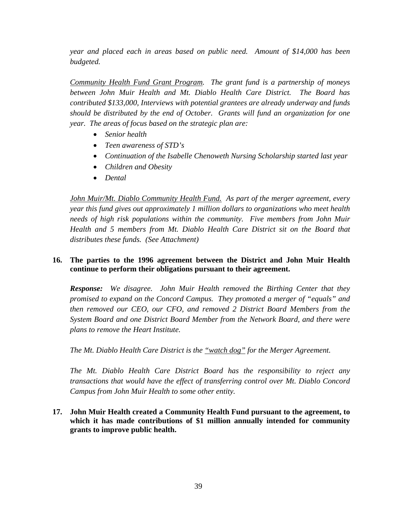*year and placed each in areas based on public need. Amount of \$14,000 has been budgeted.* 

*Community Health Fund Grant Program. The grant fund is a partnership of moneys between John Muir Health and Mt. Diablo Health Care District. The Board has contributed \$133,000, Interviews with potential grantees are already underway and funds should be distributed by the end of October. Grants will fund an organization for one year. The areas of focus based on the strategic plan are:* 

- *Senior health*
- *Teen awareness of STD's*
- *Continuation of the Isabelle Chenoweth Nursing Scholarship started last year*
- *Children and Obesity*
- *Dental*

*John Muir/Mt. Diablo Community Health Fund. As part of the merger agreement, every year this fund gives out approximately 1 million dollars to organizations who meet health needs of high risk populations within the community. Five members from John Muir Health and 5 members from Mt. Diablo Health Care District sit on the Board that distributes these funds. (See Attachment)* 

# **16. The parties to the 1996 agreement between the District and John Muir Health continue to perform their obligations pursuant to their agreement.**

*Response: We disagree. John Muir Health removed the Birthing Center that they promised to expand on the Concord Campus. They promoted a merger of "equals" and then removed our CEO, our CFO, and removed 2 District Board Members from the System Board and one District Board Member from the Network Board, and there were plans to remove the Heart Institute.* 

*The Mt. Diablo Health Care District is the "watch dog" for the Merger Agreement.* 

*The Mt. Diablo Health Care District Board has the responsibility to reject any transactions that would have the effect of transferring control over Mt. Diablo Concord Campus from John Muir Health to some other entity.* 

# **17. John Muir Health created a Community Health Fund pursuant to the agreement, to which it has made contributions of \$1 million annually intended for community grants to improve public health.**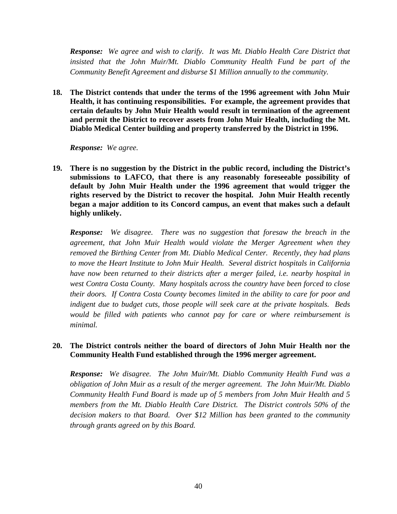*Response: We agree and wish to clarify. It was Mt. Diablo Health Care District that*  insisted that the John Muir/Mt. Diablo Community Health Fund be part of the *Community Benefit Agreement and disburse \$1 Million annually to the community.* 

**18. The District contends that under the terms of the 1996 agreement with John Muir Health, it has continuing responsibilities. For example, the agreement provides that certain defaults by John Muir Health would result in termination of the agreement and permit the District to recover assets from John Muir Health, including the Mt. Diablo Medical Center building and property transferred by the District in 1996.** 

*Response: We agree.* 

**19. There is no suggestion by the District in the public record, including the District's submissions to LAFCO, that there is any reasonably foreseeable possibility of default by John Muir Health under the 1996 agreement that would trigger the rights reserved by the District to recover the hospital. John Muir Health recently began a major addition to its Concord campus, an event that makes such a default highly unlikely.** 

*Response: We disagree. There was no suggestion that foresaw the breach in the agreement, that John Muir Health would violate the Merger Agreement when they removed the Birthing Center from Mt. Diablo Medical Center. Recently, they had plans to move the Heart Institute to John Muir Health. Several district hospitals in California have now been returned to their districts after a merger failed, i.e. nearby hospital in west Contra Costa County. Many hospitals across the country have been forced to close their doors. If Contra Costa County becomes limited in the ability to care for poor and indigent due to budget cuts, those people will seek care at the private hospitals. Beds would be filled with patients who cannot pay for care or where reimbursement is minimal.* 

# **20. The District controls neither the board of directors of John Muir Health nor the Community Health Fund established through the 1996 merger agreement.**

*Response: We disagree. The John Muir/Mt. Diablo Community Health Fund was a obligation of John Muir as a result of the merger agreement. The John Muir/Mt. Diablo Community Health Fund Board is made up of 5 members from John Muir Health and 5 members from the Mt. Diablo Health Care District. The District controls 50% of the decision makers to that Board. Over \$12 Million has been granted to the community through grants agreed on by this Board.*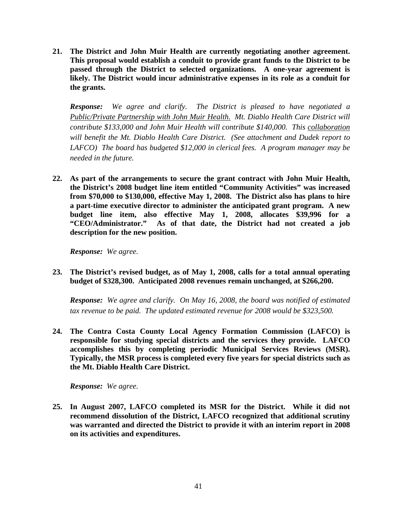**21. The District and John Muir Health are currently negotiating another agreement. This proposal would establish a conduit to provide grant funds to the District to be passed through the District to selected organizations. A one-year agreement is likely. The District would incur administrative expenses in its role as a conduit for the grants.** 

*Response: We agree and clarify. The District is pleased to have negotiated a Public/Private Partnership with John Muir Health. Mt. Diablo Health Care District will contribute \$133,000 and John Muir Health will contribute \$140,000. This collaboration will benefit the Mt. Diablo Health Care District. (See attachment and Dudek report to LAFCO) The board has budgeted \$12,000 in clerical fees. A program manager may be needed in the future.* 

**22. As part of the arrangements to secure the grant contract with John Muir Health, the District's 2008 budget line item entitled "Community Activities" was increased from \$70,000 to \$130,000, effective May 1, 2008. The District also has plans to hire a part-time executive director to administer the anticipated grant program. A new budget line item, also effective May 1, 2008, allocates \$39,996 for a "CEO/Administrator." As of that date, the District had not created a job description for the new position.** 

*Response: We agree.* 

**23. The District's revised budget, as of May 1, 2008, calls for a total annual operating budget of \$328,300. Anticipated 2008 revenues remain unchanged, at \$266,200.** 

*Response: We agree and clarify. On May 16, 2008, the board was notified of estimated tax revenue to be paid. The updated estimated revenue for 2008 would be \$323,500.* 

**24. The Contra Costa County Local Agency Formation Commission (LAFCO) is responsible for studying special districts and the services they provide. LAFCO accomplishes this by completing periodic Municipal Services Reviews (MSR). Typically, the MSR process is completed every five years for special districts such as the Mt. Diablo Health Care District.** 

*Response: We agree.* 

**25. In August 2007, LAFCO completed its MSR for the District. While it did not recommend dissolution of the District, LAFCO recognized that additional scrutiny was warranted and directed the District to provide it with an interim report in 2008 on its activities and expenditures.**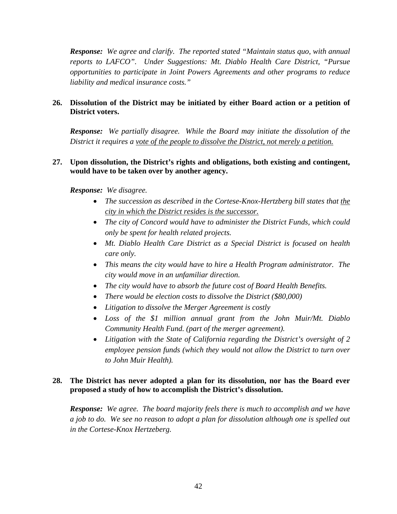*Response: We agree and clarify. The reported stated "Maintain status quo, with annual reports to LAFCO". Under Suggestions: Mt. Diablo Health Care District, "Pursue opportunities to participate in Joint Powers Agreements and other programs to reduce liability and medical insurance costs."* 

# **26. Dissolution of the District may be initiated by either Board action or a petition of District voters.**

*Response: We partially disagree. While the Board may initiate the dissolution of the District it requires a vote of the people to dissolve the District, not merely a petition.*

# **27. Upon dissolution, the District's rights and obligations, both existing and contingent, would have to be taken over by another agency.**

*Response: We disagree.* 

- *The succession as described in the Cortese-Knox-Hertzberg bill states that the city in which the District resides is the successor.*
- *The city of Concord would have to administer the District Funds, which could only be spent for health related projects.*
- *Mt. Diablo Health Care District as a Special District is focused on health care only.*
- *This means the city would have to hire a Health Program administrator. The city would move in an unfamiliar direction.*
- *The city would have to absorb the future cost of Board Health Benefits.*
- *There would be election costs to dissolve the District (\$80,000)*
- *Litigation to dissolve the Merger Agreement is costly*
- *Loss of the \$1 million annual grant from the John Muir/Mt. Diablo Community Health Fund. (part of the merger agreement).*
- *Litigation with the State of California regarding the District's oversight of 2 employee pension funds (which they would not allow the District to turn over to John Muir Health).*

# **28. The District has never adopted a plan for its dissolution, nor has the Board ever proposed a study of how to accomplish the District's dissolution.**

*Response: We agree. The board majority feels there is much to accomplish and we have a job to do. We see no reason to adopt a plan for dissolution although one is spelled out in the Cortese-Knox Hertzeberg.*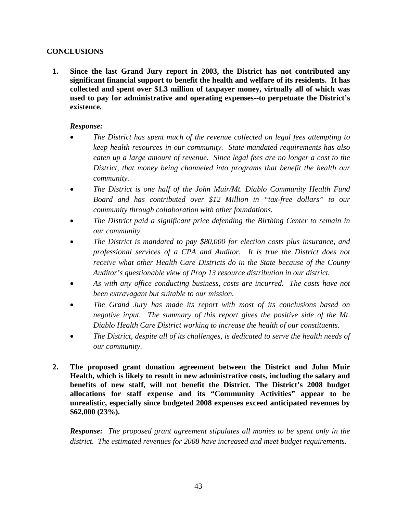# **CONCLUSIONS**

**1. Since the last Grand Jury report in 2003, the District has not contributed any significant financial support to benefit the health and welfare of its residents. It has collected and spent over \$1.3 million of taxpayer money, virtually all of which was used to pay for administrative and operating expenses--to perpetuate the District's existence.** 

#### *Response:*

- *The District has spent much of the revenue collected on legal fees attempting to keep health resources in our community. State mandated requirements has also eaten up a large amount of revenue. Since legal fees are no longer a cost to the District, that money being channeled into programs that benefit the health our community.*
- *The District is one half of the John Muir/Mt. Diablo Community Health Fund Board and has contributed over \$12 Million in "tax-free dollars" to our community through collaboration with other foundations.*
- *The District paid a significant price defending the Birthing Center to remain in our community.*
- *The District is mandated to pay \$80,000 for election costs plus insurance, and professional services of a CPA and Auditor. It is true the District does not receive what other Health Care Districts do in the State because of the County Auditor's questionable view of Prop 13 resource distribution in our district.*
- *As with any office conducting business, costs are incurred. The costs have not been extravagant but suitable to our mission.*
- *The Grand Jury has made its report with most of its conclusions based on negative input. The summary of this report gives the positive side of the Mt. Diablo Health Care District working to increase the health of our constituents.*
- *The District, despite all of its challenges, is dedicated to serve the health needs of our community.*
- **2. The proposed grant donation agreement between the District and John Muir Health, which is likely to result in new administrative costs, including the salary and benefits of new staff, will not benefit the District. The District's 2008 budget allocations for staff expense and its "Community Activities" appear to be unrealistic, especially since budgeted 2008 expenses exceed anticipated revenues by \$62,000 (23%).**

*Response: The proposed grant agreement stipulates all monies to be spent only in the district. The estimated revenues for 2008 have increased and meet budget requirements.*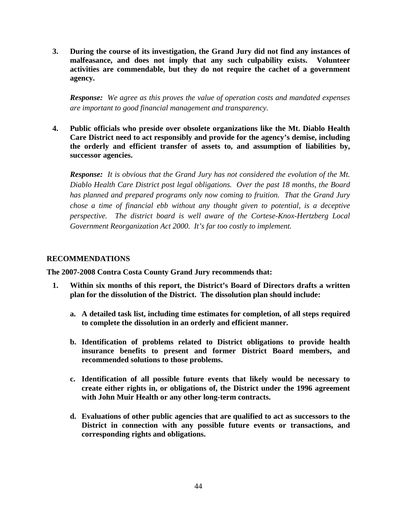**3. During the course of its investigation, the Grand Jury did not find any instances of malfeasance, and does not imply that any such culpability exists. Volunteer activities are commendable, but they do not require the cachet of a government agency.** 

*Response: We agree as this proves the value of operation costs and mandated expenses are important to good financial management and transparency.*

**4. Public officials who preside over obsolete organizations like the Mt. Diablo Health Care District need to act responsibly and provide for the agency's demise, including the orderly and efficient transfer of assets to, and assumption of liabilities by, successor agencies.** 

*Response: It is obvious that the Grand Jury has not considered the evolution of the Mt. Diablo Health Care District post legal obligations. Over the past 18 months, the Board has planned and prepared programs only now coming to fruition. That the Grand Jury chose a time of financial ebb without any thought given to potential, is a deceptive perspective. The district board is well aware of the Cortese-Knox-Hertzberg Local Government Reorganization Act 2000. It's far too costly to implement.*

#### **RECOMMENDATIONS**

**The 2007-2008 Contra Costa County Grand Jury recommends that:** 

- **1. Within six months of this report, the District's Board of Directors drafts a written plan for the dissolution of the District. The dissolution plan should include:** 
	- **a. A detailed task list, including time estimates for completion, of all steps required to complete the dissolution in an orderly and efficient manner.**
	- **b. Identification of problems related to District obligations to provide health insurance benefits to present and former District Board members, and recommended solutions to those problems.**
	- **c. Identification of all possible future events that likely would be necessary to create either rights in, or obligations of, the District under the 1996 agreement with John Muir Health or any other long-term contracts.**
	- **d. Evaluations of other public agencies that are qualified to act as successors to the District in connection with any possible future events or transactions, and corresponding rights and obligations.**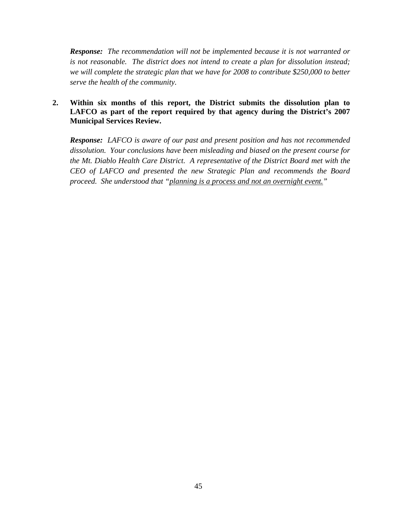*Response: The recommendation will not be implemented because it is not warranted or is not reasonable. The district does not intend to create a plan for dissolution instead; we will complete the strategic plan that we have for 2008 to contribute \$250,000 to better serve the health of the community.*

# **2. Within six months of this report, the District submits the dissolution plan to LAFCO as part of the report required by that agency during the District's 2007 Municipal Services Review.**

*Response: LAFCO is aware of our past and present position and has not recommended dissolution. Your conclusions have been misleading and biased on the present course for the Mt. Diablo Health Care District. A representative of the District Board met with the CEO of LAFCO and presented the new Strategic Plan and recommends the Board proceed. She understood that "planning is a process and not an overnight event."*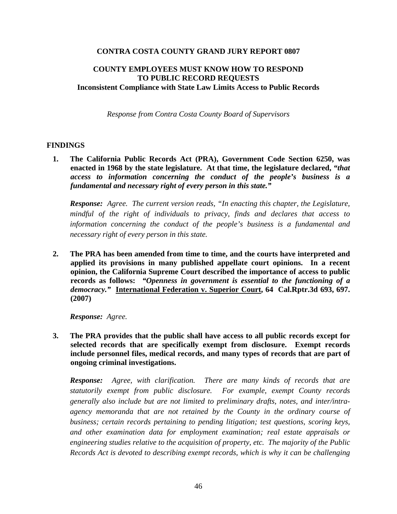#### **CONTRA COSTA COUNTY GRAND JURY REPORT 0807**

# **COUNTY EMPLOYEES MUST KNOW HOW TO RESPOND TO PUBLIC RECORD REQUESTS Inconsistent Compliance with State Law Limits Access to Public Records**

*Response from Contra Costa County Board of Supervisors* 

#### **FINDINGS**

**1. The California Public Records Act (PRA), Government Code Section 6250, was enacted in 1968 by the state legislature. At that time, the legislature declared,** *"that access to information concerning the conduct of the people's business is a fundamental and necessary right of every person in this state."*

*Response: Agree. The current version reads, "In enacting this chapter, the Legislature, mindful of the right of individuals to privacy, finds and declares that access to information concerning the conduct of the people's business is a fundamental and necessary right of every person in this state.*

**2. The PRA has been amended from time to time, and the courts have interpreted and applied its provisions in many published appellate court opinions. In a recent opinion, the California Supreme Court described the importance of access to public records as follows:** *"Openness in government is essential to the functioning of a democracy."* **International Federation v. Superior Court, 64 Cal.Rptr.3d 693, 697. (2007)** 

*Response: Agree.*

**3. The PRA provides that the public shall have access to all public records except for selected records that are specifically exempt from disclosure. Exempt records include personnel files, medical records, and many types of records that are part of ongoing criminal investigations.** 

*Response: Agree, with clarification. There are many kinds of records that are statutorily exempt from public disclosure. For example, exempt County records generally also include but are not limited to preliminary drafts, notes, and inter/intraagency memoranda that are not retained by the County in the ordinary course of business; certain records pertaining to pending litigation; test questions, scoring keys, and other examination data for employment examination; real estate appraisals or engineering studies relative to the acquisition of property, etc. The majority of the Public Records Act is devoted to describing exempt records, which is why it can be challenging*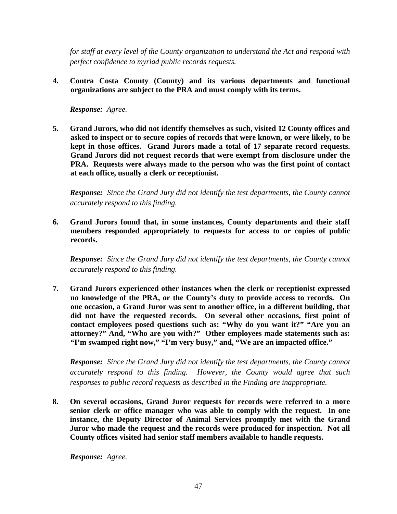*for staff at every level of the County organization to understand the Act and respond with perfect confidence to myriad public records requests.*

**4. Contra Costa County (County) and its various departments and functional organizations are subject to the PRA and must comply with its terms.** 

*Response: Agree.*

**5. Grand Jurors, who did not identify themselves as such, visited 12 County offices and asked to inspect or to secure copies of records that were known, or were likely, to be kept in those offices. Grand Jurors made a total of 17 separate record requests. Grand Jurors did not request records that were exempt from disclosure under the PRA. Requests were always made to the person who was the first point of contact at each office, usually a clerk or receptionist.** 

*Response: Since the Grand Jury did not identify the test departments, the County cannot accurately respond to this finding.*

**6. Grand Jurors found that, in some instances, County departments and their staff members responded appropriately to requests for access to or copies of public records.** 

*Response: Since the Grand Jury did not identify the test departments, the County cannot accurately respond to this finding.*

**7. Grand Jurors experienced other instances when the clerk or receptionist expressed no knowledge of the PRA, or the County's duty to provide access to records. On one occasion, a Grand Juror was sent to another office, in a different building, that did not have the requested records. On several other occasions, first point of contact employees posed questions such as: "Why do you want it?" "Are you an attorney?" And, "Who are you with?" Other employees made statements such as: "I'm swamped right now," "I'm very busy," and, "We are an impacted office."** 

*Response: Since the Grand Jury did not identify the test departments, the County cannot accurately respond to this finding. However, the County would agree that such responses to public record requests as described in the Finding are inappropriate.*

**8. On several occasions, Grand Juror requests for records were referred to a more senior clerk or office manager who was able to comply with the request. In one instance, the Deputy Director of Animal Services promptly met with the Grand Juror who made the request and the records were produced for inspection. Not all County offices visited had senior staff members available to handle requests.** 

*Response: Agree.*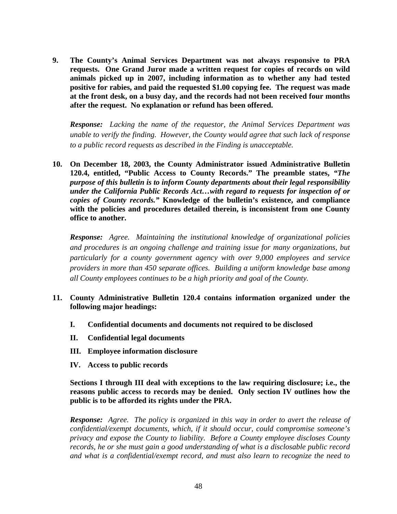**9. The County's Animal Services Department was not always responsive to PRA requests. One Grand Juror made a written request for copies of records on wild animals picked up in 2007, including information as to whether any had tested positive for rabies, and paid the requested \$1.00 copying fee. The request was made at the front desk, on a busy day, and the records had not been received four months after the request. No explanation or refund has been offered.** 

*Response: Lacking the name of the requestor, the Animal Services Department was unable to verify the finding. However, the County would agree that such lack of response to a public record requests as described in the Finding is unacceptable.*

**10. On December 18, 2003, the County Administrator issued Administrative Bulletin 120.4, entitled, "Public Access to County Records." The preamble states,** *"The purpose of this bulletin is to inform County departments about their legal responsibility under the California Public Records Act…with regard to requests for inspection of or copies of County records."* **Knowledge of the bulletin's existence, and compliance with the policies and procedures detailed therein, is inconsistent from one County office to another.** 

*Response: Agree. Maintaining the institutional knowledge of organizational policies and procedures is an ongoing challenge and training issue for many organizations, but particularly for a county government agency with over 9,000 employees and service providers in more than 450 separate offices. Building a uniform knowledge base among all County employees continues to be a high priority and goal of the County.*

- **11. County Administrative Bulletin 120.4 contains information organized under the following major headings:** 
	- **I. Confidential documents and documents not required to be disclosed**
	- **II. Confidential legal documents**
	- **III. Employee information disclosure**
	- **IV. Access to public records**

**Sections I through III deal with exceptions to the law requiring disclosure; i.e., the reasons public access to records may be denied. Only section IV outlines how the public is to be afforded its rights under the PRA.** 

*Response: Agree. The policy is organized in this way in order to avert the release of confidential/exempt documents, which, if it should occur, could compromise someone's privacy and expose the County to liability. Before a County employee discloses County records, he or she must gain a good understanding of what is a disclosable public record and what is a confidential/exempt record, and must also learn to recognize the need to*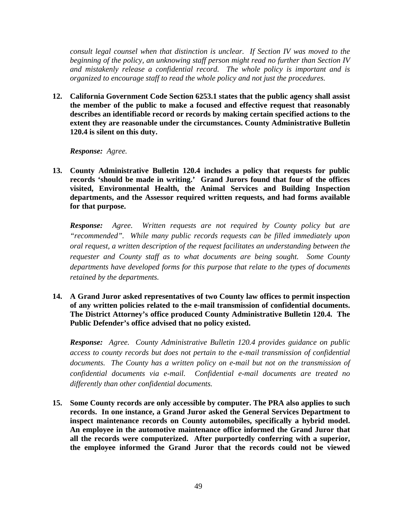*consult legal counsel when that distinction is unclear. If Section IV was moved to the beginning of the policy, an unknowing staff person might read no further than Section IV and mistakenly release a confidential record. The whole policy is important and is organized to encourage staff to read the whole policy and not just the procedures.*

**12. California Government Code Section 6253.1 states that the public agency shall assist the member of the public to make a focused and effective request that reasonably describes an identifiable record or records by making certain specified actions to the extent they are reasonable under the circumstances. County Administrative Bulletin 120.4 is silent on this duty.** 

*Response: Agree.*

**13. County Administrative Bulletin 120.4 includes a policy that requests for public records 'should be made in writing.' Grand Jurors found that four of the offices visited, Environmental Health, the Animal Services and Building Inspection departments, and the Assessor required written requests, and had forms available for that purpose.** 

*Response: Agree. Written requests are not required by County policy but are "recommended". While many public records requests can be filled immediately upon oral request, a written description of the request facilitates an understanding between the requester and County staff as to what documents are being sought. Some County departments have developed forms for this purpose that relate to the types of documents retained by the departments.*

**14. A Grand Juror asked representatives of two County law offices to permit inspection of any written policies related to the e-mail transmission of confidential documents. The District Attorney's office produced County Administrative Bulletin 120.4. The Public Defender's office advised that no policy existed.** 

*Response: Agree. County Administrative Bulletin 120.4 provides guidance on public access to county records but does not pertain to the e-mail transmission of confidential documents. The County has a written policy on e-mail but not on the transmission of confidential documents via e-mail. Confidential e-mail documents are treated no differently than other confidential documents.*

**15. Some County records are only accessible by computer. The PRA also applies to such records. In one instance, a Grand Juror asked the General Services Department to inspect maintenance records on County automobiles, specifically a hybrid model. An employee in the automotive maintenance office informed the Grand Juror that all the records were computerized. After purportedly conferring with a superior, the employee informed the Grand Juror that the records could not be viewed**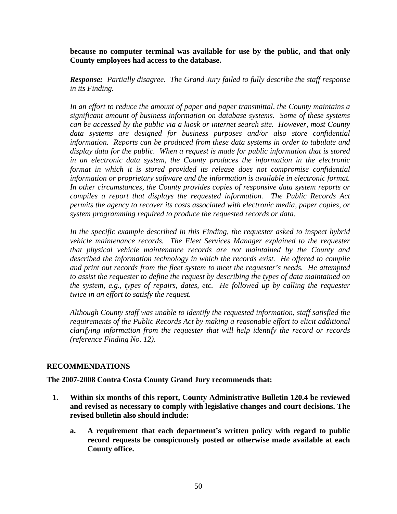**because no computer terminal was available for use by the public, and that only County employees had access to the database.** 

*Response: Partially disagree. The Grand Jury failed to fully describe the staff response in its Finding.* 

*In an effort to reduce the amount of paper and paper transmittal, the County maintains a significant amount of business information on database systems. Some of these systems can be accessed by the public via a kiosk or internet search site. However, most County data systems are designed for business purposes and/or also store confidential information. Reports can be produced from these data systems in order to tabulate and display data for the public. When a request is made for public information that is stored in an electronic data system, the County produces the information in the electronic format in which it is stored provided its release does not compromise confidential information or proprietary software and the information is available in electronic format. In other circumstances, the County provides copies of responsive data system reports or compiles a report that displays the requested information. The Public Records Act permits the agency to recover its costs associated with electronic media, paper copies, or system programming required to produce the requested records or data.* 

*In the specific example described in this Finding, the requester asked to inspect hybrid vehicle maintenance records. The Fleet Services Manager explained to the requester that physical vehicle maintenance records are not maintained by the County and described the information technology in which the records exist. He offered to compile and print out records from the fleet system to meet the requester's needs. He attempted to assist the requester to define the request by describing the types of data maintained on the system, e.g., types of repairs, dates, etc. He followed up by calling the requester twice in an effort to satisfy the request.* 

*Although County staff was unable to identify the requested information, staff satisfied the requirements of the Public Records Act by making a reasonable effort to elicit additional clarifying information from the requester that will help identify the record or records (reference Finding No. 12).* 

#### **RECOMMENDATIONS**

**The 2007-2008 Contra Costa County Grand Jury recommends that:** 

- **1. Within six months of this report, County Administrative Bulletin 120.4 be reviewed and revised as necessary to comply with legislative changes and court decisions. The revised bulletin also should include:** 
	- **a. A requirement that each department's written policy with regard to public record requests be conspicuously posted or otherwise made available at each County office.**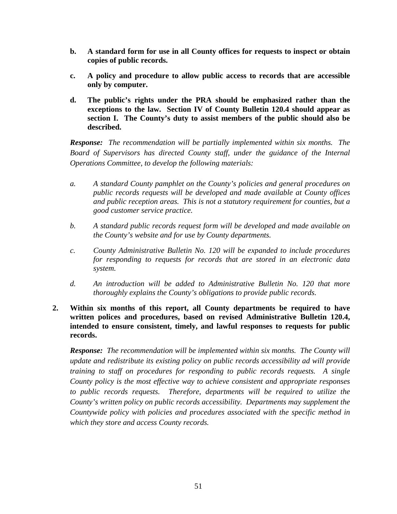- **b. A standard form for use in all County offices for requests to inspect or obtain copies of public records.**
- **c. A policy and procedure to allow public access to records that are accessible only by computer.**
- **d. The public's rights under the PRA should be emphasized rather than the exceptions to the law. Section IV of County Bulletin 120.4 should appear as section I. The County's duty to assist members of the public should also be described.**

*Response: The recommendation will be partially implemented within six months. The Board of Supervisors has directed County staff, under the guidance of the Internal Operations Committee, to develop the following materials:* 

- *a. A standard County pamphlet on the County's policies and general procedures on public records requests will be developed and made available at County offices and public reception areas. This is not a statutory requirement for counties, but a good customer service practice.*
- *b. A standard public records request form will be developed and made available on the County's website and for use by County departments.*
- *c. County Administrative Bulletin No. 120 will be expanded to include procedures for responding to requests for records that are stored in an electronic data system.*
- *d. An introduction will be added to Administrative Bulletin No. 120 that more thoroughly explains the County's obligations to provide public records.*
- **2. Within six months of this report, all County departments be required to have written polices and procedures, based on revised Administrative Bulletin 120.4, intended to ensure consistent, timely, and lawful responses to requests for public records.**

*Response: The recommendation will be implemented within six months. The County will update and redistribute its existing policy on public records accessibility ad will provide training to staff on procedures for responding to public records requests. A single County policy is the most effective way to achieve consistent and appropriate responses*  to public records requests. Therefore, departments will be required to utilize the *County's written policy on public records accessibility. Departments may supplement the Countywide policy with policies and procedures associated with the specific method in which they store and access County records.*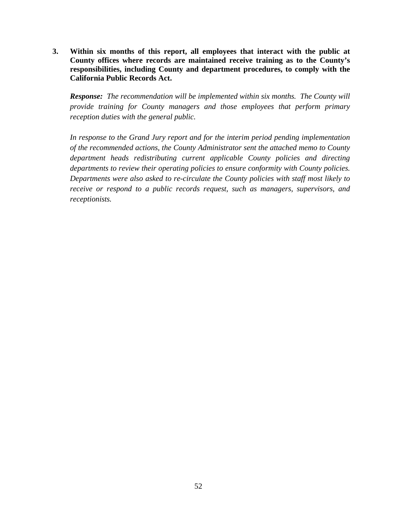**3. Within six months of this report, all employees that interact with the public at County offices where records are maintained receive training as to the County's responsibilities, including County and department procedures, to comply with the California Public Records Act.** 

*Response: The recommendation will be implemented within six months. The County will provide training for County managers and those employees that perform primary reception duties with the general public.* 

*In response to the Grand Jury report and for the interim period pending implementation of the recommended actions, the County Administrator sent the attached memo to County department heads redistributing current applicable County policies and directing departments to review their operating policies to ensure conformity with County policies. Departments were also asked to re-circulate the County policies with staff most likely to receive or respond to a public records request, such as managers, supervisors, and receptionists.*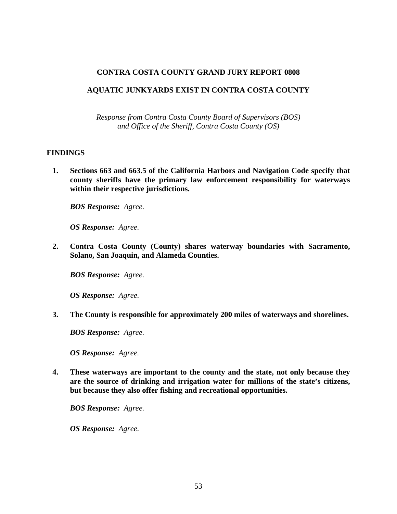#### **CONTRA COSTA COUNTY GRAND JURY REPORT 0808**

#### **AQUATIC JUNKYARDS EXIST IN CONTRA COSTA COUNTY**

*Response from Contra Costa County Board of Supervisors (BOS) and Office of the Sheriff, Contra Costa County (OS)* 

#### **FINDINGS**

**1. Sections 663 and 663.5 of the California Harbors and Navigation Code specify that county sheriffs have the primary law enforcement responsibility for waterways within their respective jurisdictions.** 

*BOS Response: Agree.* 

*OS Response: Agree.* 

**2. Contra Costa County (County) shares waterway boundaries with Sacramento, Solano, San Joaquin, and Alameda Counties.** 

*BOS Response: Agree.* 

*OS Response: Agree.* 

**3. The County is responsible for approximately 200 miles of waterways and shorelines.** 

*BOS Response: Agree.* 

*OS Response: Agree.* 

**4. These waterways are important to the county and the state, not only because they are the source of drinking and irrigation water for millions of the state's citizens, but because they also offer fishing and recreational opportunities.** 

*BOS Response: Agree.* 

*OS Response: Agree.*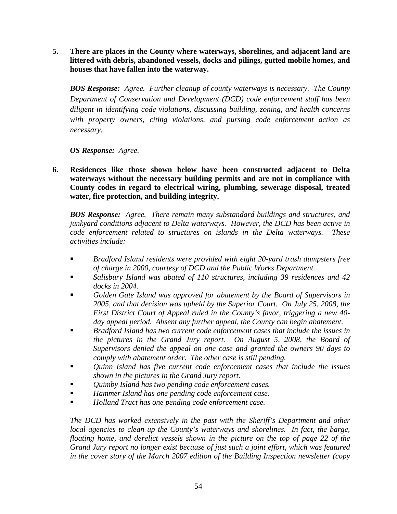**5. There are places in the County where waterways, shorelines, and adjacent land are littered with debris, abandoned vessels, docks and pilings, gutted mobile homes, and houses that have fallen into the waterway.** 

*BOS Response: Agree. Further cleanup of county waterways is necessary. The County Department of Conservation and Development (DCD) code enforcement staff has been diligent in identifying code violations, discussing building, zoning, and health concerns with property owners, citing violations, and pursing code enforcement action as necessary.* 

*OS Response: Agree.* 

**6. Residences like those shown below have been constructed adjacent to Delta waterways without the necessary building permits and are not in compliance with County codes in regard to electrical wiring, plumbing, sewerage disposal, treated water, fire protection, and building integrity.** 

*BOS Response: Agree. There remain many substandard buildings and structures, and junkyard conditions adjacent to Delta waterways. However, the DCD has been active in code enforcement related to structures on islands in the Delta waterways. These activities include:* 

- *Bradford Island residents were provided with eight 20-yard trash dumpsters free of charge in 2000, courtesy of DCD and the Public Works Department.*
- *Salisbury Island was abated of 110 structures, including 39 residences and 42 docks in 2004.*
- *Golden Gate Island was approved for abatement by the Board of Supervisors in 2005, and that decision was upheld by the Superior Court. On July 25, 2008, the First District Court of Appeal ruled in the County's favor, triggering a new 40 day appeal period. Absent any further appeal, the County can begin abatement.*
- *Bradford Island has two current code enforcement cases that include the issues in the pictures in the Grand Jury report. On August 5, 2008, the Board of Supervisors denied the appeal on one case and granted the owners 90 days to comply with abatement order. The other case is still pending.*
- *Quinn Island has five current code enforcement cases that include the issues shown in the pictures in the Grand Jury report.*
- *Quimby Island has two pending code enforcement cases.*
- *Hammer Island has one pending code enforcement case.*
- *Holland Tract has one pending code enforcement case.*

*The DCD has worked extensively in the past with the Sheriff's Department and other local agencies to clean up the County's waterways and shorelines. In fact, the barge, floating home, and derelict vessels shown in the picture on the top of page 22 of the Grand Jury report no longer exist because of just such a joint effort, which was featured in the cover story of the March 2007 edition of the Building Inspection newsletter (copy*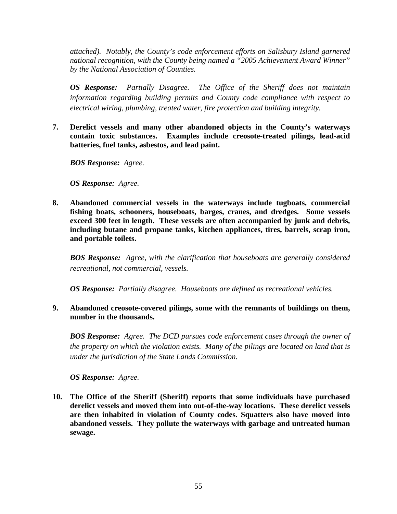*attached). Notably, the County's code enforcement efforts on Salisbury Island garnered national recognition, with the County being named a "2005 Achievement Award Winner" by the National Association of Counties.* 

*OS Response: Partially Disagree. The Office of the Sheriff does not maintain information regarding building permits and County code compliance with respect to electrical wiring, plumbing, treated water, fire protection and building integrity.* 

**7. Derelict vessels and many other abandoned objects in the County's waterways contain toxic substances. Examples include creosote-treated pilings, lead-acid batteries, fuel tanks, asbestos, and lead paint.** 

*BOS Response: Agree.* 

*OS Response: Agree.* 

**8. Abandoned commercial vessels in the waterways include tugboats, commercial fishing boats, schooners, houseboats, barges, cranes, and dredges. Some vessels exceed 300 feet in length. These vessels are often accompanied by junk and debris, including butane and propane tanks, kitchen appliances, tires, barrels, scrap iron, and portable toilets.** 

*BOS Response: Agree, with the clarification that houseboats are generally considered recreational, not commercial, vessels.* 

*OS Response: Partially disagree. Houseboats are defined as recreational vehicles.* 

**9. Abandoned creosote-covered pilings, some with the remnants of buildings on them, number in the thousands.** 

*BOS Response: Agree. The DCD pursues code enforcement cases through the owner of the property on which the violation exists. Many of the pilings are located on land that is under the jurisdiction of the State Lands Commission.* 

*OS Response: Agree.* 

**10. The Office of the Sheriff (Sheriff) reports that some individuals have purchased derelict vessels and moved them into out-of-the-way locations. These derelict vessels are then inhabited in violation of County codes. Squatters also have moved into abandoned vessels. They pollute the waterways with garbage and untreated human sewage.**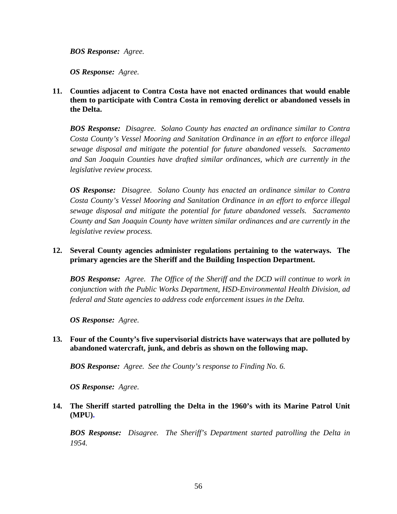*BOS Response: Agree.* 

*OS Response: Agree.* 

**11. Counties adjacent to Contra Costa have not enacted ordinances that would enable them to participate with Contra Costa in removing derelict or abandoned vessels in the Delta.** 

*BOS Response: Disagree. Solano County has enacted an ordinance similar to Contra Costa County's Vessel Mooring and Sanitation Ordinance in an effort to enforce illegal sewage disposal and mitigate the potential for future abandoned vessels. Sacramento and San Joaquin Counties have drafted similar ordinances, which are currently in the legislative review process.* 

*OS Response: Disagree. Solano County has enacted an ordinance similar to Contra Costa County's Vessel Mooring and Sanitation Ordinance in an effort to enforce illegal sewage disposal and mitigate the potential for future abandoned vessels. Sacramento County and San Joaquin County have written similar ordinances and are currently in the legislative review process.* 

# **12. Several County agencies administer regulations pertaining to the waterways. The primary agencies are the Sheriff and the Building Inspection Department.**

*BOS Response: Agree. The Office of the Sheriff and the DCD will continue to work in conjunction with the Public Works Department, HSD-Environmental Health Division, ad federal and State agencies to address code enforcement issues in the Delta.* 

*OS Response: Agree.* 

# **13. Four of the County's five supervisorial districts have waterways that are polluted by abandoned watercraft, junk, and debris as shown on the following map.**

*BOS Response: Agree. See the County's response to Finding No. 6.* 

*OS Response: Agree.* 

# **14. The Sheriff started patrolling the Delta in the 1960's with its Marine Patrol Unit (MPU).**

*BOS Response: Disagree. The Sheriff's Department started patrolling the Delta in 1954.*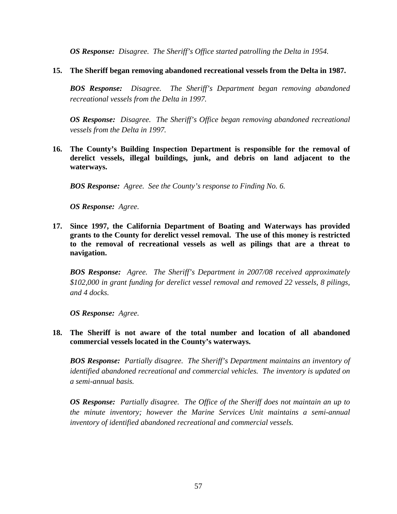*OS Response: Disagree. The Sheriff's Office started patrolling the Delta in 1954.* 

# **15. The Sheriff began removing abandoned recreational vessels from the Delta in 1987.**

*BOS Response: Disagree. The Sheriff's Department began removing abandoned recreational vessels from the Delta in 1997.* 

*OS Response: Disagree. The Sheriff's Office began removing abandoned recreational vessels from the Delta in 1997.* 

**16. The County's Building Inspection Department is responsible for the removal of derelict vessels, illegal buildings, junk, and debris on land adjacent to the waterways.** 

*BOS Response: Agree. See the County's response to Finding No. 6.* 

*OS Response: Agree.* 

**17. Since 1997, the California Department of Boating and Waterways has provided grants to the County for derelict vessel removal. The use of this money is restricted to the removal of recreational vessels as well as pilings that are a threat to navigation.** 

*BOS Response: Agree. The Sheriff's Department in 2007/08 received approximately \$102,000 in grant funding for derelict vessel removal and removed 22 vessels, 8 pilings, and 4 docks.* 

*OS Response: Agree.* 

**18. The Sheriff is not aware of the total number and location of all abandoned commercial vessels located in the County's waterways.** 

*BOS Response: Partially disagree. The Sheriff's Department maintains an inventory of identified abandoned recreational and commercial vehicles. The inventory is updated on a semi-annual basis.* 

*OS Response: Partially disagree. The Office of the Sheriff does not maintain an up to the minute inventory; however the Marine Services Unit maintains a semi-annual inventory of identified abandoned recreational and commercial vessels.*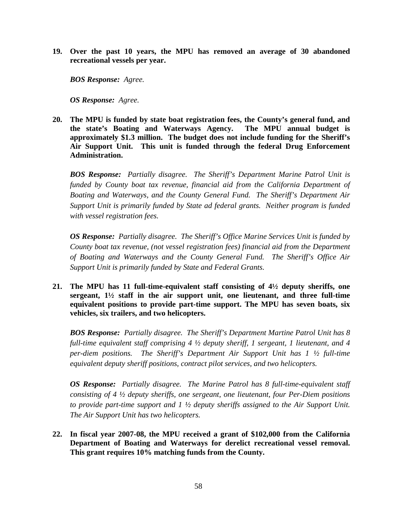**19. Over the past 10 years, the MPU has removed an average of 30 abandoned recreational vessels per year.** 

*BOS Response: Agree.* 

*OS Response: Agree.* 

**20. The MPU is funded by state boat registration fees, the County's general fund, and the state's Boating and Waterways Agency. The MPU annual budget is approximately \$1.3 million. The budget does not include funding for the Sheriff's Air Support Unit. This unit is funded through the federal Drug Enforcement Administration.** 

*BOS Response: Partially disagree. The Sheriff's Department Marine Patrol Unit is funded by County boat tax revenue, financial aid from the California Department of Boating and Waterways, and the County General Fund. The Sheriff's Department Air Support Unit is primarily funded by State ad federal grants. Neither program is funded with vessel registration fees.* 

*OS Response: Partially disagree. The Sheriff's Office Marine Services Unit is funded by County boat tax revenue, (not vessel registration fees) financial aid from the Department of Boating and Waterways and the County General Fund. The Sheriff's Office Air Support Unit is primarily funded by State and Federal Grants.* 

**21. The MPU has 11 full-time-equivalent staff consisting of 4½ deputy sheriffs, one sergeant, 1½ staff in the air support unit, one lieutenant, and three full-time equivalent positions to provide part-time support. The MPU has seven boats, six vehicles, six trailers, and two helicopters.** 

*BOS Response: Partially disagree. The Sheriff's Department Martine Patrol Unit has 8 full-time equivalent staff comprising 4 ½ deputy sheriff, 1 sergeant, 1 lieutenant, and 4 per-diem positions. The Sheriff's Department Air Support Unit has 1 ½ full-time equivalent deputy sheriff positions, contract pilot services, and two helicopters.* 

*OS Response: Partially disagree. The Marine Patrol has 8 full-time-equivalent staff consisting of 4 ½ deputy sheriffs, one sergeant, one lieutenant, four Per-Diem positions to provide part-time support and 1 ½ deputy sheriffs assigned to the Air Support Unit. The Air Support Unit has two helicopters.* 

**22. In fiscal year 2007-08, the MPU received a grant of \$102,000 from the California Department of Boating and Waterways for derelict recreational vessel removal. This grant requires 10% matching funds from the County.**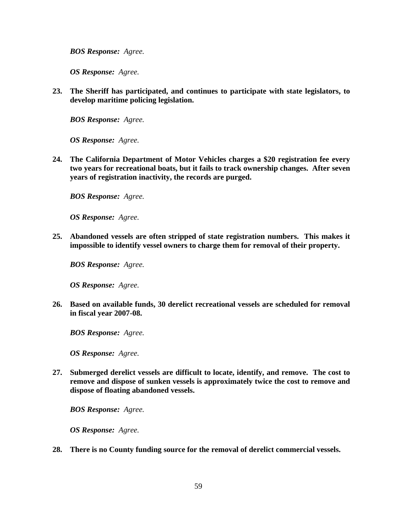*BOS Response: Agree.* 

*OS Response: Agree.* 

**23. The Sheriff has participated, and continues to participate with state legislators, to develop maritime policing legislation.** 

*BOS Response: Agree.* 

*OS Response: Agree.* 

**24. The California Department of Motor Vehicles charges a \$20 registration fee every two years for recreational boats, but it fails to track ownership changes. After seven years of registration inactivity, the records are purged.** 

*BOS Response: Agree.* 

*OS Response: Agree.* 

**25. Abandoned vessels are often stripped of state registration numbers. This makes it impossible to identify vessel owners to charge them for removal of their property.** 

*BOS Response: Agree.* 

*OS Response: Agree.* 

**26. Based on available funds, 30 derelict recreational vessels are scheduled for removal in fiscal year 2007-08.** 

*BOS Response: Agree.* 

*OS Response: Agree.* 

**27. Submerged derelict vessels are difficult to locate, identify, and remove. The cost to remove and dispose of sunken vessels is approximately twice the cost to remove and dispose of floating abandoned vessels.** 

*BOS Response: Agree.* 

*OS Response: Agree.* 

**28. There is no County funding source for the removal of derelict commercial vessels.**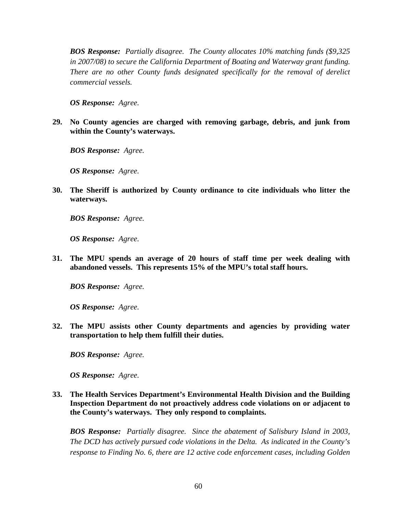*BOS Response: Partially disagree. The County allocates 10% matching funds (\$9,325 in 2007/08) to secure the California Department of Boating and Waterway grant funding. There are no other County funds designated specifically for the removal of derelict commercial vessels.* 

*OS Response: Agree.* 

**29. No County agencies are charged with removing garbage, debris, and junk from within the County's waterways.** 

*BOS Response: Agree.* 

*OS Response: Agree.* 

**30. The Sheriff is authorized by County ordinance to cite individuals who litter the waterways.** 

*BOS Response: Agree.* 

*OS Response: Agree.* 

**31. The MPU spends an average of 20 hours of staff time per week dealing with abandoned vessels. This represents 15% of the MPU's total staff hours.** 

*BOS Response: Agree.* 

*OS Response: Agree.* 

**32. The MPU assists other County departments and agencies by providing water transportation to help them fulfill their duties.** 

*BOS Response: Agree.* 

*OS Response: Agree.* 

**33. The Health Services Department's Environmental Health Division and the Building Inspection Department do not proactively address code violations on or adjacent to the County's waterways. They only respond to complaints.** 

*BOS Response: Partially disagree. Since the abatement of Salisbury Island in 2003, The DCD has actively pursued code violations in the Delta. As indicated in the County's response to Finding No. 6, there are 12 active code enforcement cases, including Golden*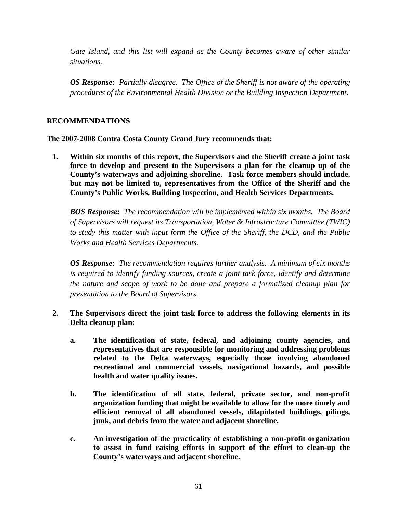*Gate Island, and this list will expand as the County becomes aware of other similar situations.* 

*OS Response: Partially disagree. The Office of the Sheriff is not aware of the operating procedures of the Environmental Health Division or the Building Inspection Department.* 

# **RECOMMENDATIONS**

**The 2007-2008 Contra Costa County Grand Jury recommends that:** 

**1. Within six months of this report, the Supervisors and the Sheriff create a joint task force to develop and present to the Supervisors a plan for the cleanup up of the County's waterways and adjoining shoreline. Task force members should include, but may not be limited to, representatives from the Office of the Sheriff and the County's Public Works, Building Inspection, and Health Services Departments.** 

*BOS Response: The recommendation will be implemented within six months. The Board of Supervisors will request its Transportation, Water & Infrastructure Committee (TWIC) to study this matter with input form the Office of the Sheriff, the DCD, and the Public Works and Health Services Departments.* 

*OS Response: The recommendation requires further analysis. A minimum of six months is required to identify funding sources, create a joint task force, identify and determine the nature and scope of work to be done and prepare a formalized cleanup plan for presentation to the Board of Supervisors.* 

- **2. The Supervisors direct the joint task force to address the following elements in its Delta cleanup plan:** 
	- **a. The identification of state, federal, and adjoining county agencies, and representatives that are responsible for monitoring and addressing problems related to the Delta waterways, especially those involving abandoned recreational and commercial vessels, navigational hazards, and possible health and water quality issues.**
	- **b. The identification of all state, federal, private sector, and non-profit organization funding that might be available to allow for the more timely and efficient removal of all abandoned vessels, dilapidated buildings, pilings, junk, and debris from the water and adjacent shoreline.**
	- **c. An investigation of the practicality of establishing a non-profit organization to assist in fund raising efforts in support of the effort to clean-up the County's waterways and adjacent shoreline.**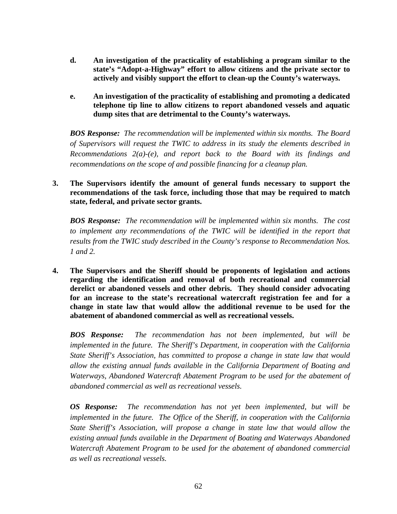- **d. An investigation of the practicality of establishing a program similar to the state's "Adopt-a-Highway" effort to allow citizens and the private sector to actively and visibly support the effort to clean-up the County's waterways.**
- **e. An investigation of the practicality of establishing and promoting a dedicated telephone tip line to allow citizens to report abandoned vessels and aquatic dump sites that are detrimental to the County's waterways.**

*BOS Response: The recommendation will be implemented within six months. The Board of Supervisors will request the TWIC to address in its study the elements described in Recommendations 2(a)-(e), and report back to the Board with its findings and recommendations on the scope of and possible financing for a cleanup plan.* 

**3. The Supervisors identify the amount of general funds necessary to support the recommendations of the task force, including those that may be required to match state, federal, and private sector grants.** 

*BOS Response: The recommendation will be implemented within six months. The cost to implement any recommendations of the TWIC will be identified in the report that results from the TWIC study described in the County's response to Recommendation Nos. 1 and 2.* 

**4. The Supervisors and the Sheriff should be proponents of legislation and actions regarding the identification and removal of both recreational and commercial derelict or abandoned vessels and other debris. They should consider advocating for an increase to the state's recreational watercraft registration fee and for a change in state law that would allow the additional revenue to be used for the abatement of abandoned commercial as well as recreational vessels.** 

*BOS Response: The recommendation has not been implemented, but will be implemented in the future. The Sheriff's Department, in cooperation with the California State Sheriff's Association, has committed to propose a change in state law that would allow the existing annual funds available in the California Department of Boating and Waterways, Abandoned Watercraft Abatement Program to be used for the abatement of abandoned commercial as well as recreational vessels.* 

*OS Response: The recommendation has not yet been implemented, but will be implemented in the future. The Office of the Sheriff, in cooperation with the California State Sheriff's Association, will propose a change in state law that would allow the existing annual funds available in the Department of Boating and Waterways Abandoned Watercraft Abatement Program to be used for the abatement of abandoned commercial as well as recreational vessels.*